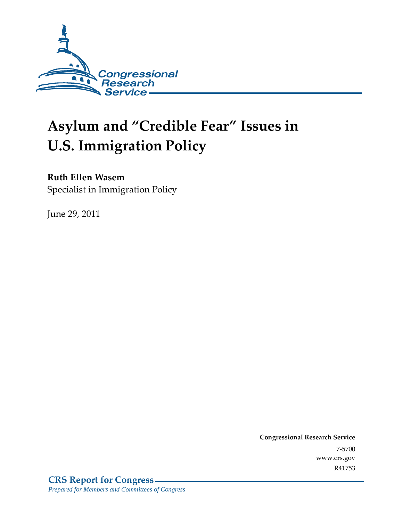

# **Asylum and "Credible Fear" Issues in U.S. Immigration Policy**

## **Ruth Ellen Wasem**

Specialist in Immigration Policy

June 29, 2011

**Congressional Research Service** 7-5700 www.crs.gov R41753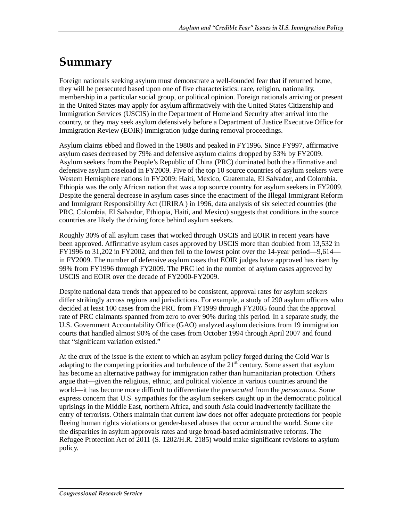# **Summary**

Foreign nationals seeking asylum must demonstrate a well-founded fear that if returned home, they will be persecuted based upon one of five characteristics: race, religion, nationality, membership in a particular social group, or political opinion. Foreign nationals arriving or present in the United States may apply for asylum affirmatively with the United States Citizenship and Immigration Services (USCIS) in the Department of Homeland Security after arrival into the country, or they may seek asylum defensively before a Department of Justice Executive Office for Immigration Review (EOIR) immigration judge during removal proceedings.

Asylum claims ebbed and flowed in the 1980s and peaked in FY1996. Since FY997, affirmative asylum cases decreased by 79% and defensive asylum claims dropped by 53% by FY2009. Asylum seekers from the People's Republic of China (PRC) dominated both the affirmative and defensive asylum caseload in FY2009. Five of the top 10 source countries of asylum seekers were Western Hemisphere nations in FY2009: Haiti, Mexico, Guatemala, El Salvador, and Colombia. Ethiopia was the only African nation that was a top source country for asylum seekers in FY2009. Despite the general decrease in asylum cases since the enactment of the Illegal Immigrant Reform and Immigrant Responsibility Act (IIRIRA ) in 1996, data analysis of six selected countries (the PRC, Colombia, El Salvador, Ethiopia, Haiti, and Mexico) suggests that conditions in the source countries are likely the driving force behind asylum seekers.

Roughly 30% of all asylum cases that worked through USCIS and EOIR in recent years have been approved. Affirmative asylum cases approved by USCIS more than doubled from 13,532 in FY1996 to 31,202 in FY2002, and then fell to the lowest point over the 14-year period—9,614 in FY2009. The number of defensive asylum cases that EOIR judges have approved has risen by 99% from FY1996 through FY2009. The PRC led in the number of asylum cases approved by USCIS and EOIR over the decade of FY2000-FY2009.

Despite national data trends that appeared to be consistent, approval rates for asylum seekers differ strikingly across regions and jurisdictions. For example, a study of 290 asylum officers who decided at least 100 cases from the PRC from FY1999 through FY2005 found that the approval rate of PRC claimants spanned from zero to over 90% during this period. In a separate study, the U.S. Government Accountability Office (GAO) analyzed asylum decisions from 19 immigration courts that handled almost 90% of the cases from October 1994 through April 2007 and found that "significant variation existed."

At the crux of the issue is the extent to which an asylum policy forged during the Cold War is adapting to the competing priorities and turbulence of the  $21<sup>st</sup>$  century. Some assert that asylum has become an alternative pathway for immigration rather than humanitarian protection. Others argue that—given the religious, ethnic, and political violence in various countries around the world—it has become more difficult to differentiate the *persecuted* from the *persecutors*. Some express concern that U.S. sympathies for the asylum seekers caught up in the democratic political uprisings in the Middle East, northern Africa, and south Asia could inadvertently facilitate the entry of terrorists. Others maintain that current law does not offer adequate protections for people fleeing human rights violations or gender-based abuses that occur around the world. Some cite the disparities in asylum approvals rates and urge broad-based administrative reforms. The Refugee Protection Act of 2011 (S. 1202/H.R. 2185) would make significant revisions to asylum policy.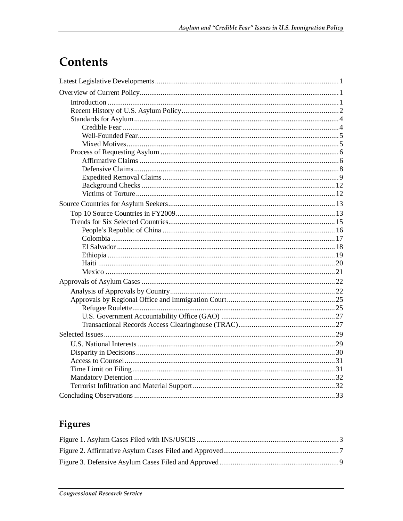# Contents

## Figures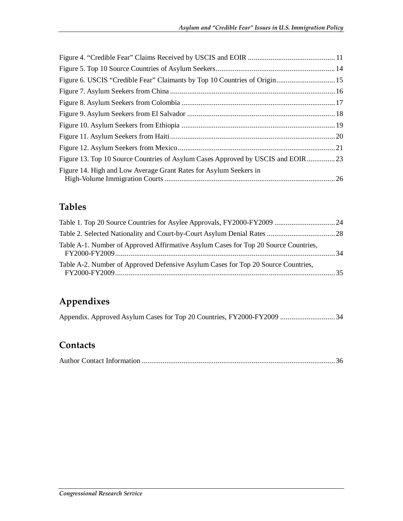| Figure 6. USCIS "Credible Fear" Claimants by Top 10 Countries of Origin 15      |  |
|---------------------------------------------------------------------------------|--|
|                                                                                 |  |
|                                                                                 |  |
|                                                                                 |  |
|                                                                                 |  |
|                                                                                 |  |
|                                                                                 |  |
| Figure 13. Top 10 Source Countries of Asylum Cases Approved by USCIS and EOIR23 |  |
| Figure 14. High and Low Average Grant Rates for Asylum Seekers in               |  |

## **Tables**

| Table A-1. Number of Approved Affirmative Asylum Cases for Top 20 Source Countries, |  |
|-------------------------------------------------------------------------------------|--|
| Table A-2. Number of Approved Defensive Asylum Cases for Top 20 Source Countries,   |  |

## **Appendixes**

## **Contacts**

|--|--|--|--|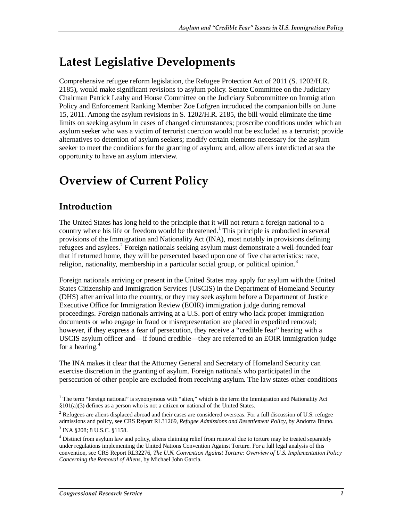# **Latest Legislative Developments**

Comprehensive refugee reform legislation, the Refugee Protection Act of 2011 (S. 1202/H.R. 2185), would make significant revisions to asylum policy. Senate Committee on the Judiciary Chairman Patrick Leahy and House Committee on the Judiciary Subcommittee on Immigration Policy and Enforcement Ranking Member Zoe Lofgren introduced the companion bills on June 15, 2011. Among the asylum revisions in S. 1202/H.R. 2185, the bill would eliminate the time limits on seeking asylum in cases of changed circumstances; proscribe conditions under which an asylum seeker who was a victim of terrorist coercion would not be excluded as a terrorist; provide alternatives to detention of asylum seekers; modify certain elements necessary for the asylum seeker to meet the conditions for the granting of asylum; and, allow aliens interdicted at sea the opportunity to have an asylum interview.

# **Overview of Current Policy**

## **Introduction**

The United States has long held to the principle that it will not return a foreign national to a country where his life or freedom would be threatened.<sup>1</sup> This principle is embodied in several provisions of the Immigration and Nationality Act (INA), most notably in provisions defining refugees and asylees.<sup>2</sup> Foreign nationals seeking asylum must demonstrate a well-founded fear that if returned home, they will be persecuted based upon one of five characteristics: race, religion, nationality, membership in a particular social group, or political opinion.<sup>3</sup>

Foreign nationals arriving or present in the United States may apply for asylum with the United States Citizenship and Immigration Services (USCIS) in the Department of Homeland Security (DHS) after arrival into the country, or they may seek asylum before a Department of Justice Executive Office for Immigration Review (EOIR) immigration judge during removal proceedings. Foreign nationals arriving at a U.S. port of entry who lack proper immigration documents or who engage in fraud or misrepresentation are placed in expedited removal; however, if they express a fear of persecution, they receive a "credible fear" hearing with a USCIS asylum officer and—if found credible—they are referred to an EOIR immigration judge for a hearing. $4$ 

The INA makes it clear that the Attorney General and Secretary of Homeland Security can exercise discretion in the granting of asylum. Foreign nationals who participated in the persecution of other people are excluded from receiving asylum. The law states other conditions

The term "foreign national" is synonymous with "alien," which is the term the Immigration and Nationality Act §101(a)(3) defines as a person who is not a citizen or national of the United States.

 $2$  Refugees are aliens displaced abroad and their cases are considered overseas. For a full discussion of U.S. refugee admissions and policy, see CRS Report RL31269, *Refugee Admissions and Resettlement Policy*, by Andorra Bruno.

<sup>3</sup> INA §208; 8 U.S.C. §1158.

<sup>&</sup>lt;sup>4</sup> Distinct from asylum law and policy, aliens claiming relief from removal due to torture may be treated separately under regulations implementing the United Nations Convention Against Torture. For a full legal analysis of this convention, see CRS Report RL32276, *The U.N. Convention Against Torture: Overview of U.S. Implementation Policy Concerning the Removal of Aliens*, by Michael John Garcia.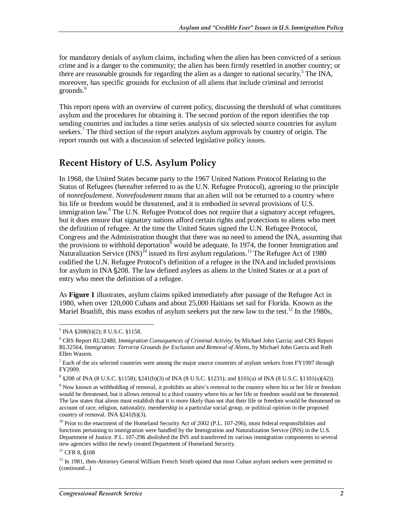for mandatory denials of asylum claims, including when the alien has been convicted of a serious crime and is a danger to the community; the alien has been firmly resettled in another country; or there are reasonable grounds for regarding the alien as a danger to national security.<sup>5</sup> The INA, moreover, has specific grounds for exclusion of all aliens that include criminal and terrorist grounds.<sup>6</sup>

This report opens with an overview of current policy, discussing the threshold of what constitutes asylum and the procedures for obtaining it. The second portion of the report identifies the top sending countries and includes a time series analysis of six selected source countries for asylum seekers.<sup>7</sup> The third section of the report analyzes asylum approvals by country of origin. The report rounds out with a discussion of selected legislative policy issues.

## **Recent History of U.S. Asylum Policy**

In 1968, the United States became party to the 1967 United Nations Protocol Relating to the Status of Refugees (hereafter referred to as the U.N. Refugee Protocol), agreeing to the principle of *nonrefoulement*. *Nonrefoulement* means that an alien will not be returned to a country where his life or freedom would be threatened, and it is embodied in several provisions of U.S. immigration law.<sup>8</sup> The U.N. Refugee Protocol does not require that a signatory accept refugees, but it does ensure that signatory nations afford certain rights and protections to aliens who meet the definition of refugee. At the time the United States signed the U.N. Refugee Protocol, Congress and the Administration thought that there was no need to amend the INA, assuming that the provisions to withhold deportation<sup> $\overline{9}$ </sup> would be adequate. In 1974, the former Immigration and Naturalization Service  $(INS)^{10}$  issued its first asylum regulations.<sup>11</sup> The Refugee Act of 1980 codified the U.N. Refugee Protocol's definition of a refugee in the INA and included provisions for asylum in INA  $\S 208$ . The law defined asylees as aliens in the United States or at a port of entry who meet the definition of a refugee.

As **Figure 1** illustrates, asylum claims spiked immediately after passage of the Refugee Act in 1980, when over 120,000 Cubans and about 25,000 Haitians set sail for Florida. Known as the Mariel Boatlift, this mass exodus of asylum seekers put the new law to the test.<sup>12</sup> In the 1980s,

 $11$  CFR 8, §108

 $\overline{a}$  $<sup>5</sup>$  INA §208(b)(2); 8 U.S.C. §1158.</sup>

<sup>6</sup> CRS Report RL32480, *Immigration Consequences of Criminal Activity*, by Michael John Garcia; and CRS Report RL32564, *Immigration: Terrorist Grounds for Exclusion and Removal of Aliens*, by Michael John Garcia and Ruth Ellen Wasem.

 $7$  Each of the six selected countries were among the major source countries of asylum seekers from FY1997 through FY2009.

 $8 \text{ $8208$ of INA (8 U.S.C. $1158); $241(b)(3) of INA (8 U.S.C. $1231); and $101(a) of INA (8 U.S.C. $1101(a)(42)).}$ 

<sup>&</sup>lt;sup>9</sup> Now known as withholding of removal, it prohibits an alien's removal to the country where his or her life or freedom would be threatened, but it allows removal to a third country where his or her life or freedom would not be threatened. The law states that aliens must establish that it is more likely than not that their life or freedom would be threatened on account of race, religion, nationality, membership in a particular social group, or political opinion in the proposed country of removal. INA §241(b)(3).

<sup>&</sup>lt;sup>10</sup> Prior to the enactment of the Homeland Security Act of 2002 (P.L. 107-296), most federal responsibilities and functions pertaining to immigration were handled by the Immigration and Naturalization Service (INS) in the U.S. Department of Justice. P.L. 107-296 abolished the INS and transferred its various immigration components to several new agencies within the newly created Department of Homeland Security.

<sup>&</sup>lt;sup>12</sup> In 1981, then-Attorney General William French Smith opined that most Cuban asylum seekers were permitted to (continued...)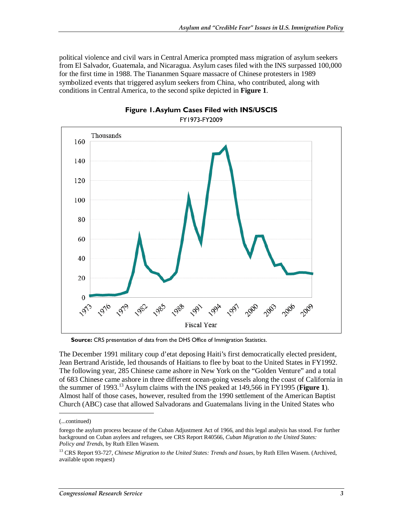political violence and civil wars in Central America prompted mass migration of asylum seekers from El Salvador, Guatemala, and Nicaragua. Asylum cases filed with the INS surpassed 100,000 for the first time in 1988. The Tiananmen Square massacre of Chinese protesters in 1989 symbolized events that triggered asylum seekers from China, who contributed, along with conditions in Central America, to the second spike depicted in **Figure 1**.





**Source:** CRS presentation of data from the DHS Office of Immigration Statistics.

The December 1991 military coup d'etat deposing Haiti's first democratically elected president, Jean Bertrand Aristide, led thousands of Haitians to flee by boat to the United States in FY1992. The following year, 285 Chinese came ashore in New York on the "Golden Venture" and a total of 683 Chinese came ashore in three different ocean-going vessels along the coast of California in the summer of 1993.13 Asylum claims with the INS peaked at 149,566 in FY1995 (**Figure 1**). Almost half of those cases, however, resulted from the 1990 settlement of the American Baptist Church (ABC) case that allowed Salvadorans and Guatemalans living in the United States who

1

<sup>(...</sup>continued)

forego the asylum process because of the Cuban Adjustment Act of 1966, and this legal analysis has stood. For further background on Cuban asylees and refugees, see CRS Report R40566, *Cuban Migration to the United States: Policy and Trends*, by Ruth Ellen Wasem.

<sup>&</sup>lt;sup>13</sup> CRS Report 93-727, *Chinese Migration to the United States: Trends and Issues*, by Ruth Ellen Wasem. (Archived, available upon request)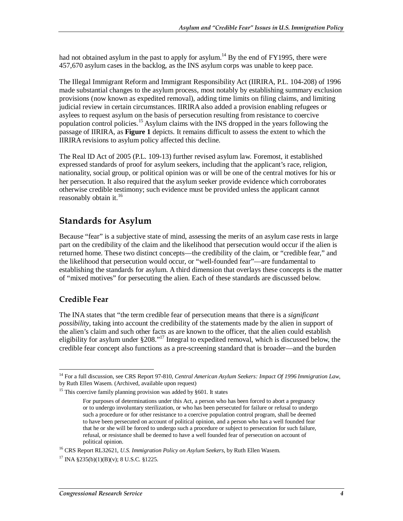had not obtained asylum in the past to apply for asylum.<sup>14</sup> By the end of FY1995, there were 457,670 asylum cases in the backlog, as the INS asylum corps was unable to keep pace.

The Illegal Immigrant Reform and Immigrant Responsibility Act (IIRIRA, P.L. 104-208) of 1996 made substantial changes to the asylum process, most notably by establishing summary exclusion provisions (now known as expedited removal), adding time limits on filing claims, and limiting judicial review in certain circumstances. IIRIRA also added a provision enabling refugees or asylees to request asylum on the basis of persecution resulting from resistance to coercive population control policies.<sup>15</sup> Asylum claims with the INS dropped in the years following the passage of IIRIRA, as **Figure 1** depicts. It remains difficult to assess the extent to which the IIRIRA revisions to asylum policy affected this decline.

The Real ID Act of 2005 (P.L. 109-13) further revised asylum law. Foremost, it established expressed standards of proof for asylum seekers, including that the applicant's race, religion, nationality, social group, or political opinion was or will be one of the central motives for his or her persecution. It also required that the asylum seeker provide evidence which corroborates otherwise credible testimony; such evidence must be provided unless the applicant cannot reasonably obtain it.<sup>16</sup>

### **Standards for Asylum**

Because "fear" is a subjective state of mind, assessing the merits of an asylum case rests in large part on the credibility of the claim and the likelihood that persecution would occur if the alien is returned home. These two distinct concepts—the credibility of the claim, or "credible fear," and the likelihood that persecution would occur, or "well-founded fear"—are fundamental to establishing the standards for asylum. A third dimension that overlays these concepts is the matter of "mixed motives" for persecuting the alien. Each of these standards are discussed below.

#### **Credible Fear**

The INA states that "the term credible fear of persecution means that there is a *significant possibility*, taking into account the credibility of the statements made by the alien in support of the alien's claim and such other facts as are known to the officer, that the alien could establish eligibility for asylum under  $\S 208$ ."<sup>17</sup> Integral to expedited removal, which is discussed below, the credible fear concept also functions as a pre-screening standard that is broader—and the burden

<sup>&</sup>lt;u>.</u> <sup>14</sup> For a full discussion, see CRS Report 97-810, Central American Asylum Seekers: Impact Of 1996 Immigration Law, by Ruth Ellen Wasem. (Archived, available upon request)

<sup>&</sup>lt;sup>15</sup> This coercive family planning provision was added by §601. It states

For purposes of determinations under this Act, a person who has been forced to abort a pregnancy or to undergo involuntary sterilization, or who has been persecuted for failure or refusal to undergo such a procedure or for other resistance to a coercive population control program, shall be deemed to have been persecuted on account of political opinion, and a person who has a well founded fear that he or she will be forced to undergo such a procedure or subject to persecution for such failure, refusal, or resistance shall be deemed to have a well founded fear of persecution on account of

political opinion. 16 CRS Report RL32621, *U.S. Immigration Policy on Asylum Seekers*, by Ruth Ellen Wasem.

 $17$  INA §235(b)(1)(B)(y); 8 U.S.C. §1225.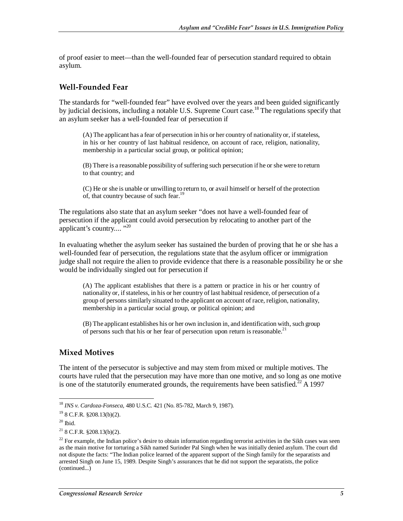of proof easier to meet—than the well-founded fear of persecution standard required to obtain asylum.

#### **Well-Founded Fear**

The standards for "well-founded fear" have evolved over the years and been guided significantly by judicial decisions, including a notable U.S. Supreme Court case.<sup>18</sup> The regulations specify that an asylum seeker has a well-founded fear of persecution if

(A) The applicant has a fear of persecution in his or her country of nationality or, if stateless, in his or her country of last habitual residence, on account of race, religion, nationality, membership in a particular social group, or political opinion;

(B) There is a reasonable possibility of suffering such persecution if he or she were to return to that country; and

(C) He or she is unable or unwilling to return to, or avail himself or herself of the protection of, that country because of such fear.<sup>19</sup>

The regulations also state that an asylum seeker "does not have a well-founded fear of persecution if the applicant could avoid persecution by relocating to another part of the applicant's country.... "<sup>20</sup>

In evaluating whether the asylum seeker has sustained the burden of proving that he or she has a well-founded fear of persecution, the regulations state that the asylum officer or immigration judge shall not require the alien to provide evidence that there is a reasonable possibility he or she would be individually singled out for persecution if

(A) The applicant establishes that there is a pattern or practice in his or her country of nationality or, if stateless, in his or her country of last habitual residence, of persecution of a group of persons similarly situated to the applicant on account of race, religion, nationality, membership in a particular social group, or political opinion; and

(B) The applicant establishes his or her own inclusion in, and identification with, such group of persons such that his or her fear of persecution upon return is reasonable.<sup>21</sup>

#### **Mixed Motives**

The intent of the persecutor is subjective and may stem from mixed or multiple motives. The courts have ruled that the persecution may have more than one motive, and so long as one motive is one of the statutorily enumerated grounds, the requirements have been satisfied.<sup>22</sup> A 1997

<sup>-</sup><sup>18</sup> *INS v. Cardoza-Fonseca*, 480 U.S.C. 421 (No. 85-782, March 9, 1987).

 $19$  8 C.F.R. §208.13(b)(2).

 $20$  Ibid.

 $218$  C.F.R.  $$208.13(b)(2)$ .

 $22$  For example, the Indian police's desire to obtain information regarding terrorist activities in the Sikh cases was seen as the main motive for torturing a Sikh named Surinder Pal Singh when he was initially denied asylum. The court did not dispute the facts: "The Indian police learned of the apparent support of the Singh family for the separatists and arrested Singh on June 15, 1989. Despite Singh's assurances that he did not support the separatists, the police (continued...)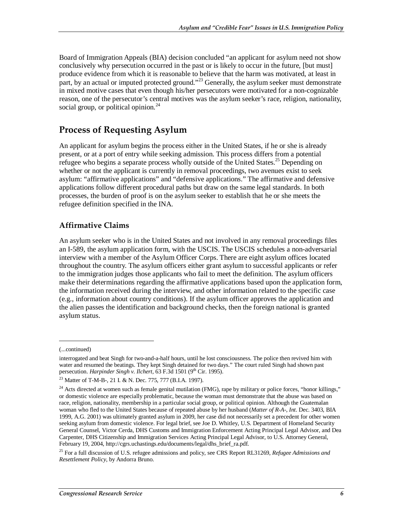Board of Immigration Appeals (BIA) decision concluded "an applicant for asylum need not show conclusively why persecution occurred in the past or is likely to occur in the future, [but must] produce evidence from which it is reasonable to believe that the harm was motivated, at least in part, by an actual or imputed protected ground."<sup>23</sup> Generally, the asylum seeker must demonstrate in mixed motive cases that even though his/her persecutors were motivated for a non-cognizable reason, one of the persecutor's central motives was the asylum seeker's race, religion, nationality, social group, or political opinion. $^{24}$ 

## **Process of Requesting Asylum**

An applicant for asylum begins the process either in the United States, if he or she is already present, or at a port of entry while seeking admission. This process differs from a potential refugee who begins a separate process wholly outside of the United States.<sup>25</sup> Depending on whether or not the applicant is currently in removal proceedings, two avenues exist to seek asylum: "affirmative applications" and "defensive applications." The affirmative and defensive applications follow different procedural paths but draw on the same legal standards. In both processes, the burden of proof is on the asylum seeker to establish that he or she meets the refugee definition specified in the INA.

#### **Affirmative Claims**

An asylum seeker who is in the United States and not involved in any removal proceedings files an I-589, the asylum application form, with the USCIS. The USCIS schedules a non-adversarial interview with a member of the Asylum Officer Corps. There are eight asylum offices located throughout the country. The asylum officers either grant asylum to successful applicants or refer to the immigration judges those applicants who fail to meet the definition. The asylum officers make their determinations regarding the affirmative applications based upon the application form, the information received during the interview, and other information related to the specific case (e.g., information about country conditions). If the asylum officer approves the application and the alien passes the identification and background checks, then the foreign national is granted asylum status.

1

<sup>(...</sup>continued)

interrogated and beat Singh for two-and-a-half hours, until he lost consciousness. The police then revived him with water and resumed the beatings. They kept Singh detained for two days." The court ruled Singh had shown past persecution. *Harpinder Singh v. Ilchert*, 63 F.3d 1501 (9<sup>th</sup> Cir. 1995).

<sup>23</sup> Matter of T-M-B-, 21 I. & N. Dec. 775, 777 (B.I.A. 1997).

<sup>&</sup>lt;sup>24</sup> Acts directed at women such as female genital mutilation (FMG), rape by military or police forces, "honor killings," or domestic violence are especially problematic, because the woman must demonstrate that the abuse was based on race, religion, nationality, membership in a particular social group, or political opinion. Although the Guatemalan woman who fled to the United States because of repeated abuse by her husband (*Matter of R-A-, Int*. Dec. 3403, BIA 1999, A.G. 2001) was ultimately granted asylum in 2009, her case did not necessarily set a precedent for other women seeking asylum from domestic violence. For legal brief, see Joe D. Whitley, U.S. Department of Homeland Security General Counsel, Victor Cerda, DHS Customs and Immigration Enforcement Acting Principal Legal Advisor, and Dea Carpenter, DHS Citizenship and Immigration Services Acting Principal Legal Advisor, to U.S. Attorney General, February 19, 2004, http://cgrs.uchastings.edu/documents/legal/dhs\_brief\_ra.pdf.

<sup>25</sup> For a full discussion of U.S. refugee admissions and policy, see CRS Report RL31269, *Refugee Admissions and Resettlement Policy*, by Andorra Bruno.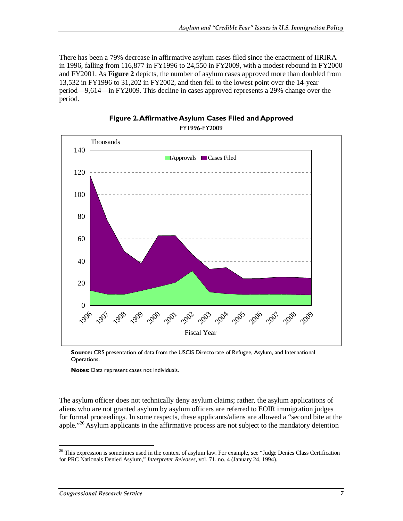There has been a 79% decrease in affirmative asylum cases filed since the enactment of IIRIRA in 1996, falling from 116,877 in FY1996 to 24,550 in FY2009, with a modest rebound in FY2000 and FY2001. As **Figure 2** depicts, the number of asylum cases approved more than doubled from 13,532 in FY1996 to 31,202 in FY2002, and then fell to the lowest point over the 14-year period—9,614—in FY2009. This decline in cases approved represents a 29% change over the period.



**Figure 2. Affirmative Asylum Cases Filed and Approved**  FY1996-FY2009

**Notes:** Data represent cases not individuals.

The asylum officer does not technically deny asylum claims; rather, the asylum applications of aliens who are not granted asylum by asylum officers are referred to EOIR immigration judges for formal proceedings. In some respects, these applicants/aliens are allowed a "second bite at the apple."<sup>26</sup> Asylum applicants in the affirmative process are not subject to the mandatory detention

-

**Source:** CRS presentation of data from the USCIS Directorate of Refugee, Asylum, and International Operations.

 $26$  This expression is sometimes used in the context of asylum law. For example, see "Judge Denies Class Certification for PRC Nationals Denied Asylum," *Interpreter Releases*, vol. 71, no. 4 (January 24, 1994).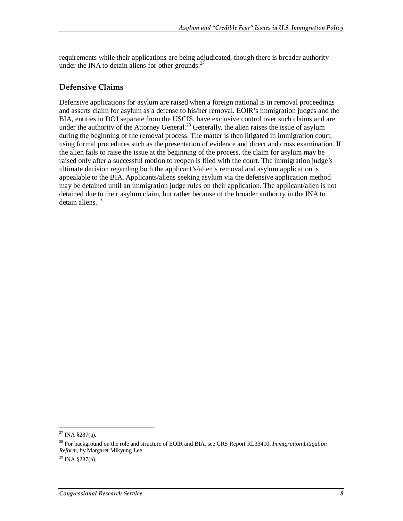requirements while their applications are being adjudicated, though there is broader authority under the INA to detain aliens for other grounds.<sup>27</sup>

#### **Defensive Claims**

Defensive applications for asylum are raised when a foreign national is in removal proceedings and asserts claim for asylum as a defense to his/her removal. EOIR's immigration judges and the BIA, entities in DOJ separate from the USCIS, have exclusive control over such claims and are under the authority of the Attorney General.<sup>28</sup> Generally, the alien raises the issue of asylum during the beginning of the removal process. The matter is then litigated in immigration court, using formal procedures such as the presentation of evidence and direct and cross examination. If the alien fails to raise the issue at the beginning of the process, the claim for asylum may be raised only after a successful motion to reopen is filed with the court. The immigration judge's ultimate decision regarding both the applicant's/alien's removal and asylum application is appealable to the BIA. Applicants/aliens seeking asylum via the defensive application method may be detained until an immigration judge rules on their application. The applicant/alien is not detained due to their asylum claim, but rather because of the broader authority in the INA to detain aliens.<sup>29</sup>

<sup>-</sup> $27$  INA §287(a).

<sup>28</sup> For background on the role and structure of EOIR and BIA, see CRS Report RL33410, *Immigration Litigation Reform*, by Margaret Mikyung Lee.

 $^{29}$  INA §287(a).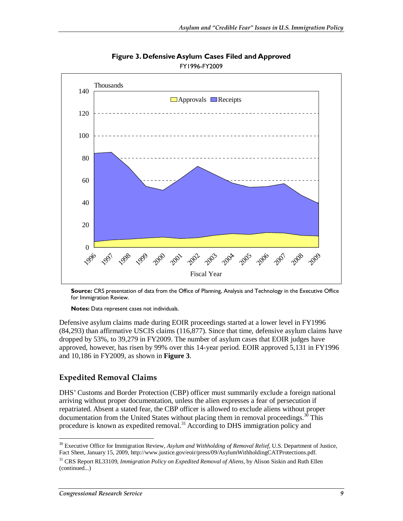

**Figure 3. Defensive Asylum Cases Filed and Approved**  FY1996-FY2009

**Source:** CRS presentation of data from the Office of Planning, Analysis and Technology in the Executive Office for Immigration Review.

**Notes:** Data represent cases not individuals.

Defensive asylum claims made during EOIR proceedings started at a lower level in FY1996 (84,293) than affirmative USCIS claims (116,877). Since that time, defensive asylum claims have dropped by 53%, to 39,279 in FY2009. The number of asylum cases that EOIR judges have approved, however, has risen by 99% over this 14-year period. EOIR approved 5,131 in FY1996 and 10,186 in FY2009, as shown in **Figure 3**.

#### **Expedited Removal Claims**

DHS' Customs and Border Protection (CBP) officer must summarily exclude a foreign national arriving without proper documentation, unless the alien expresses a fear of persecution if repatriated. Absent a stated fear, the CBP officer is allowed to exclude aliens without proper documentation from the United States without placing them in removal proceedings.<sup>30</sup> This procedure is known as expedited removal.<sup>31</sup> According to DHS immigration policy and

-

<sup>&</sup>lt;sup>30</sup> Executive Office for Immigration Review, *Asylum and Withholding of Removal Relief*, U.S. Department of Justice, Fact Sheet, January 15, 2009, http://www.justice.gov/eoir/press/09/AsylumWithholdingCATProtections.pdf.

<sup>31</sup> CRS Report RL33109, *Immigration Policy on Expedited Removal of Aliens*, by Alison Siskin and Ruth Ellen (continued...)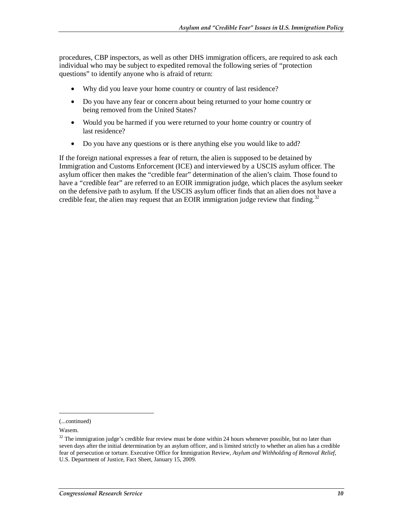procedures, CBP inspectors, as well as other DHS immigration officers, are required to ask each individual who may be subject to expedited removal the following series of "protection questions" to identify anyone who is afraid of return:

- Why did you leave your home country or country of last residence?
- Do you have any fear or concern about being returned to your home country or being removed from the United States?
- Would you be harmed if you were returned to your home country or country of last residence?
- Do you have any questions or is there anything else you would like to add?

If the foreign national expresses a fear of return, the alien is supposed to be detained by Immigration and Customs Enforcement (ICE) and interviewed by a USCIS asylum officer. The asylum officer then makes the "credible fear" determination of the alien's claim. Those found to have a "credible fear" are referred to an EOIR immigration judge, which places the asylum seeker on the defensive path to asylum. If the USCIS asylum officer finds that an alien does not have a credible fear, the alien may request that an EOIR immigration judge review that finding.<sup>32</sup>

1

<sup>(...</sup>continued)

Wasem.

 $32$  The immigration judge's credible fear review must be done within 24 hours whenever possible, but no later than seven days after the initial determination by an asylum officer, and is limited strictly to whether an alien has a credible fear of persecution or torture. Executive Office for Immigration Review, *Asylum and Withholding of Removal Relief*, U.S. Department of Justice, Fact Sheet, January 15, 2009.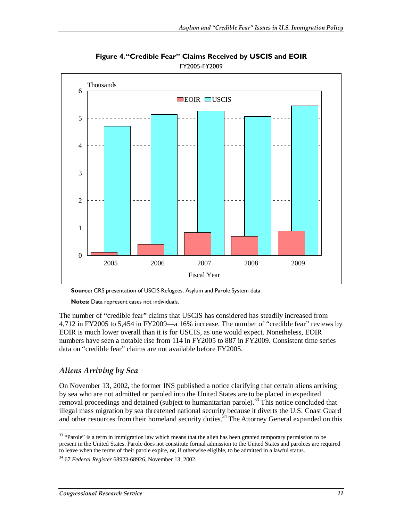

**Figure 4. "Credible Fear" Claims Received by USCIS and EOIR**  FY2005-FY2009

**Source:** CRS presentation of USCIS Refugees, Asylum and Parole System data.

**Notes:** Data represent cases not individuals.

The number of "credible fear" claims that USCIS has considered has steadily increased from 4,712 in FY2005 to 5,454 in FY2009—a 16% increase. The number of "credible fear" reviews by EOIR is much lower overall than it is for USCIS, as one would expect. Nonetheless, EOIR numbers have seen a notable rise from 114 in FY2005 to 887 in FY2009. Consistent time series data on "credible fear" claims are not available before FY2005.

#### *Aliens Arriving by Sea*

On November 13, 2002, the former INS published a notice clarifying that certain aliens arriving by sea who are not admitted or paroled into the United States are to be placed in expedited removal proceedings and detained (subject to humanitarian parole).<sup>33</sup> This notice concluded that illegal mass migration by sea threatened national security because it diverts the U.S. Coast Guard and other resources from their homeland security duties.<sup>34</sup> The Attorney General expanded on this

<sup>-</sup><sup>33</sup> "Parole" is a term in immigration law which means that the alien has been granted temporary permission to be present in the United States. Parole does not constitute formal admission to the United States and parolees are required to leave when the terms of their parole expire, or, if otherwise eligible, to be admitted in a lawful status.

<sup>34 67</sup> *Federal Register* 68923-68926, November 13, 2002.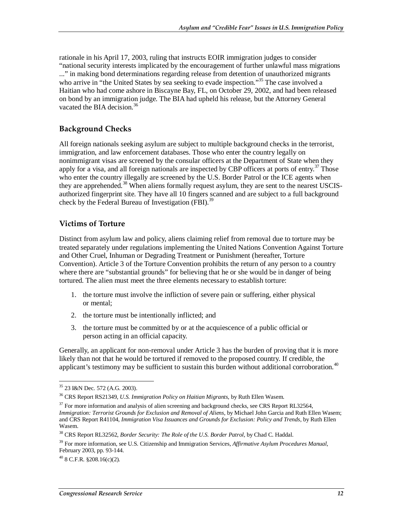rationale in his April 17, 2003, ruling that instructs EOIR immigration judges to consider "national security interests implicated by the encouragement of further unlawful mass migrations ..." in making bond determinations regarding release from detention of unauthorized migrants who arrive in "the United States by sea seeking to evade inspection."<sup>35</sup> The case involved a Haitian who had come ashore in Biscayne Bay, FL, on October 29, 2002, and had been released on bond by an immigration judge. The BIA had upheld his release, but the Attorney General vacated the BIA decision.<sup>36</sup>

#### **Background Checks**

All foreign nationals seeking asylum are subject to multiple background checks in the terrorist, immigration, and law enforcement databases. Those who enter the country legally on nonimmigrant visas are screened by the consular officers at the Department of State when they apply for a visa, and all foreign nationals are inspected by CBP officers at ports of entry.<sup>37</sup> Those who enter the country illegally are screened by the U.S. Border Patrol or the ICE agents when they are apprehended.<sup>38</sup> When aliens formally request asylum, they are sent to the nearest USCISauthorized fingerprint site. They have all 10 fingers scanned and are subject to a full background check by the Federal Bureau of Investigation (FBI).<sup>39</sup>

#### **Victims of Torture**

Distinct from asylum law and policy, aliens claiming relief from removal due to torture may be treated separately under regulations implementing the United Nations Convention Against Torture and Other Cruel, Inhuman or Degrading Treatment or Punishment (hereafter, Torture Convention). Article 3 of the Torture Convention prohibits the return of any person to a country where there are "substantial grounds" for believing that he or she would be in danger of being tortured. The alien must meet the three elements necessary to establish torture:

- 1. the torture must involve the infliction of severe pain or suffering, either physical or mental;
- 2. the torture must be intentionally inflicted; and
- 3. the torture must be committed by or at the acquiescence of a public official or person acting in an official capacity.

Generally, an applicant for non-removal under Article 3 has the burden of proving that it is more likely than not that he would be tortured if removed to the proposed country. If credible, the applicant's testimony may be sufficient to sustain this burden without additional corroboration.<sup>40</sup>

<sup>-</sup>35 23 I&N Dec. 572 (A.G. 2003).

<sup>36</sup> CRS Report RS21349, *U.S. Immigration Policy on Haitian Migrants*, by Ruth Ellen Wasem.

<sup>&</sup>lt;sup>37</sup> For more information and analysis of alien screening and background checks, see CRS Report RL32564, *Immigration: Terrorist Grounds for Exclusion and Removal of Aliens*, by Michael John Garcia and Ruth Ellen Wasem; and CRS Report R41104, *Immigration Visa Issuances and Grounds for Exclusion: Policy and Trends*, by Ruth Ellen Wasem.

<sup>38</sup> CRS Report RL32562, *Border Security: The Role of the U.S. Border Patrol*, by Chad C. Haddal.

<sup>39</sup> For more information, see U.S. Citizenship and Immigration Services, *Affirmative Asylum Procedures Manual*, February 2003, pp. 93-144.

 $^{40}$  8 C.F.R. §208.16(c)(2).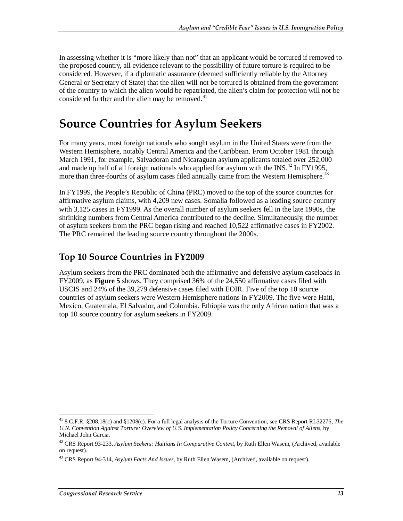In assessing whether it is "more likely than not" that an applicant would be tortured if removed to the proposed country, all evidence relevant to the possibility of future torture is required to be considered. However, if a diplomatic assurance (deemed sufficiently reliable by the Attorney General or Secretary of State) that the alien will not be tortured is obtained from the government of the country to which the alien would be repatriated, the alien's claim for protection will not be considered further and the alien may be removed. $41$ 

## **Source Countries for Asylum Seekers**

For many years, most foreign nationals who sought asylum in the United States were from the Western Hemisphere, notably Central America and the Caribbean. From October 1981 through March 1991, for example, Salvadoran and Nicaraguan asylum applicants totaled over 252,000 and made up half of all foreign nationals who applied for asylum with the INS.<sup>42</sup> In FY1995, more than three-fourths of asylum cases filed annually came from the Western Hemisphere.<sup>43</sup>

In FY1999, the People's Republic of China (PRC) moved to the top of the source countries for affirmative asylum claims, with 4,209 new cases. Somalia followed as a leading source country with 3,125 cases in FY1999. As the overall number of asylum seekers fell in the late 1990s, the shrinking numbers from Central America contributed to the decline. Simultaneously, the number of asylum seekers from the PRC began rising and reached 10,522 affirmative cases in FY2002. The PRC remained the leading source country throughout the 2000s.

### **Top 10 Source Countries in FY2009**

Asylum seekers from the PRC dominated both the affirmative and defensive asylum caseloads in FY2009, as **Figure 5** shows. They comprised 36% of the 24,550 affirmative cases filed with USCIS and 24% of the 39,279 defensive cases filed with EOIR. Five of the top 10 source countries of asylum seekers were Western Hemisphere nations in FY2009. The five were Haiti, Mexico, Guatemala, El Salvador, and Colombia. Ethiopia was the only African nation that was a top 10 source country for asylum seekers in FY2009.

<sup>-</sup>41 8 C.F.R. §208.18(c) and §1208(c). For a full legal analysis of the Torture Convention, see CRS Report RL32276, *The U.N. Convention Against Torture: Overview of U.S. Implementation Policy Concerning the Removal of Aliens*, by Michael John Garcia.

<sup>42</sup> CRS Report 93-233, *Asylum Seekers: Haitians In Comparative Context*, by Ruth Ellen Wasem, (Archived, available on request).

<sup>43</sup> CRS Report 94-314, *Asylum Facts And Issues*, by Ruth Ellen Wasem, (Archived, available on request).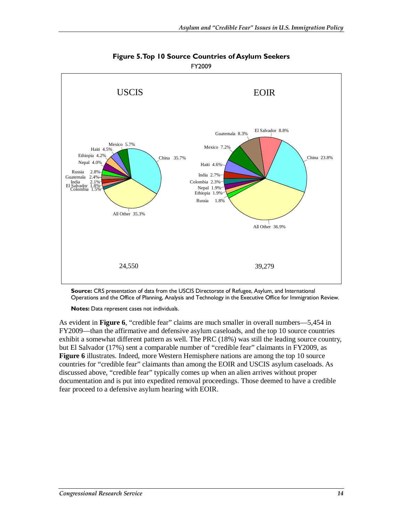

**Figure 5. Top 10 Source Countries of Asylum Seekers**  FY2009

**Source:** CRS presentation of data from the USCIS Directorate of Refugee, Asylum, and International Operations and the Office of Planning, Analysis and Technology in the Executive Office for Immigration Review.

**Notes:** Data represent cases not individuals.

As evident in **Figure 6**, "credible fear" claims are much smaller in overall numbers—5,454 in FY2009—than the affirmative and defensive asylum caseloads, and the top 10 source countries exhibit a somewhat different pattern as well. The PRC (18%) was still the leading source country, but El Salvador (17%) sent a comparable number of "credible fear" claimants in FY2009, as **Figure 6** illustrates. Indeed, more Western Hemisphere nations are among the top 10 source countries for "credible fear" claimants than among the EOIR and USCIS asylum caseloads. As discussed above, "credible fear" typically comes up when an alien arrives without proper documentation and is put into expedited removal proceedings. Those deemed to have a credible fear proceed to a defensive asylum hearing with EOIR.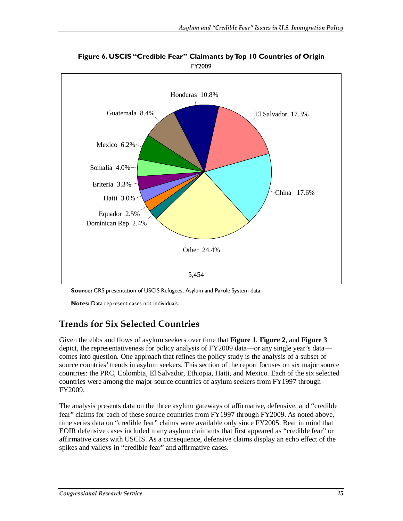

**Figure 6. USCIS "Credible Fear" Claimants by Top 10 Countries of Origin**  FY2009

**Source:** CRS presentation of USCIS Refugees, Asylum and Parole System data.

**Notes:** Data represent cases not individuals.

### **Trends for Six Selected Countries**

Given the ebbs and flows of asylum seekers over time that **Figure 1**, **Figure 2**, and **Figure 3**  depict, the representativeness for policy analysis of FY2009 data—or any single year's data comes into question. One approach that refines the policy study is the analysis of a subset of source countries' trends in asylum seekers. This section of the report focuses on six major source countries: the PRC, Colombia, El Salvador, Ethiopia, Haiti, and Mexico. Each of the six selected countries were among the major source countries of asylum seekers from FY1997 through FY2009.

The analysis presents data on the three asylum gateways of affirmative, defensive, and "credible fear" claims for each of these source countries from FY1997 through FY2009. As noted above, time series data on "credible fear" claims were available only since FY2005. Bear in mind that EOIR defensive cases included many asylum claimants that first appeared as "credible fear" or affirmative cases with USCIS. As a consequence, defensive claims display an echo effect of the spikes and valleys in "credible fear" and affirmative cases.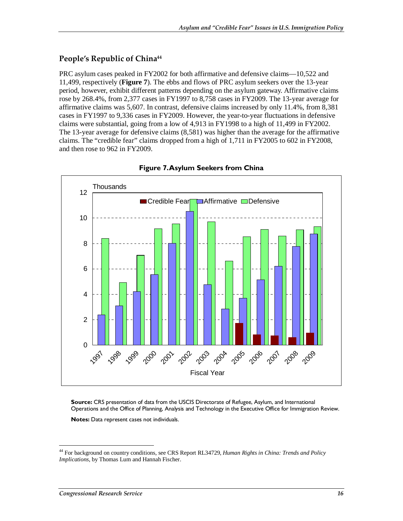#### **People's Republic of China44**

PRC asylum cases peaked in FY2002 for both affirmative and defensive claims—10,522 and 11,499, respectively (**Figure 7**). The ebbs and flows of PRC asylum seekers over the 13-year period, however, exhibit different patterns depending on the asylum gateway. Affirmative claims rose by 268.4%, from 2,377 cases in FY1997 to 8,758 cases in FY2009. The 13-year average for affirmative claims was 5,607. In contrast, defensive claims increased by only 11.4%, from 8,381 cases in FY1997 to 9,336 cases in FY2009. However, the year-to-year fluctuations in defensive claims were substantial, going from a low of 4,913 in FY1998 to a high of 11,499 in FY2002. The 13-year average for defensive claims (8,581) was higher than the average for the affirmative claims. The "credible fear" claims dropped from a high of 1,711 in FY2005 to 602 in FY2008, and then rose to 962 in FY2009.





**Source:** CRS presentation of data from the USCIS Directorate of Refugee, Asylum, and International Operations and the Office of Planning, Analysis and Technology in the Executive Office for Immigration Review.

**Notes:** Data represent cases not individuals.

-

<sup>44</sup> For background on country conditions, see CRS Report RL34729, *Human Rights in China: Trends and Policy Implications*, by Thomas Lum and Hannah Fischer.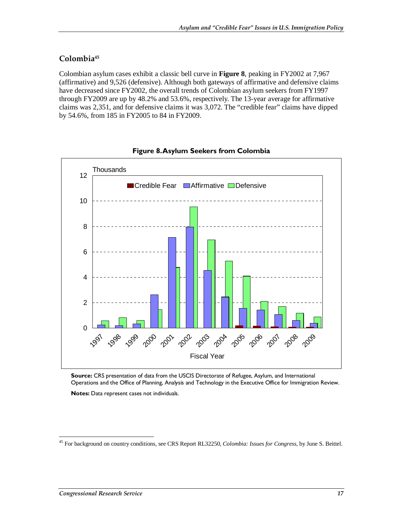#### **Colombia45**

Colombian asylum cases exhibit a classic bell curve in **Figure 8**, peaking in FY2002 at 7,967 (affirmative) and 9,526 (defensive). Although both gateways of affirmative and defensive claims have decreased since FY2002, the overall trends of Colombian asylum seekers from FY1997 through FY2009 are up by 48.2% and 53.6%, respectively. The 13-year average for affirmative claims was 2,351, and for defensive claims it was 3,072. The "credible fear" claims have dipped by 54.6%, from 185 in FY2005 to 84 in FY2009.





**Source:** CRS presentation of data from the USCIS Directorate of Refugee, Asylum, and International Operations and the Office of Planning, Analysis and Technology in the Executive Office for Immigration Review.

**Notes:** Data represent cases not individuals.

<sup>-</sup>45 For background on country conditions, see CRS Report RL32250, *Colombia: Issues for Congress*, by June S. Beittel.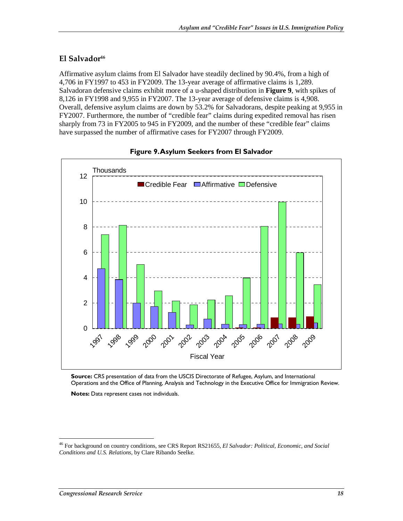#### **El Salvador46**

Affirmative asylum claims from El Salvador have steadily declined by 90.4%, from a high of 4,706 in FY1997 to 453 in FY2009. The 13-year average of affirmative claims is 1,289. Salvadoran defensive claims exhibit more of a u-shaped distribution in **Figure 9**, with spikes of 8,126 in FY1998 and 9,955 in FY2007. The 13-year average of defensive claims is 4,908. Overall, defensive asylum claims are down by 53.2% for Salvadorans, despite peaking at 9,955 in FY2007. Furthermore, the number of "credible fear" claims during expedited removal has risen sharply from 73 in FY2005 to 945 in FY2009, and the number of these "credible fear" claims have surpassed the number of affirmative cases for FY2007 through FY2009.





**Source:** CRS presentation of data from the USCIS Directorate of Refugee, Asylum, and International Operations and the Office of Planning, Analysis and Technology in the Executive Office for Immigration Review.

**Notes:** Data represent cases not individuals.

-

<sup>46</sup> For background on country conditions, see CRS Report RS21655, *El Salvador: Political, Economic, and Social Conditions and U.S. Relations*, by Clare Ribando Seelke.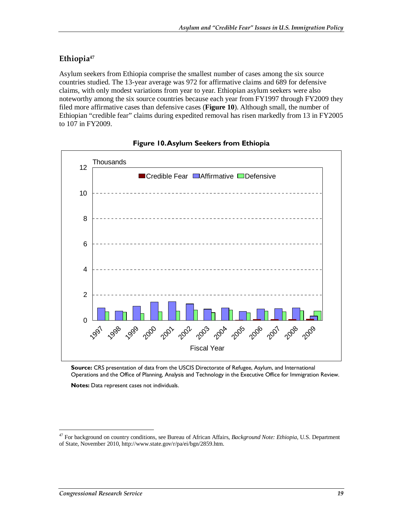#### **Ethiopia47**

Asylum seekers from Ethiopia comprise the smallest number of cases among the six source countries studied. The 13-year average was 972 for affirmative claims and 689 for defensive claims, with only modest variations from year to year. Ethiopian asylum seekers were also noteworthy among the six source countries because each year from FY1997 through FY2009 they filed more affirmative cases than defensive cases (**Figure 10**). Although small, the number of Ethiopian "credible fear" claims during expedited removal has risen markedly from 13 in FY2005 to 107 in FY2009.



#### **Figure 10. Asylum Seekers from Ethiopia**

**Source:** CRS presentation of data from the USCIS Directorate of Refugee, Asylum, and International Operations and the Office of Planning, Analysis and Technology in the Executive Office for Immigration Review.

**Notes:** Data represent cases not individuals.

-

<sup>47</sup> For background on country conditions, see Bureau of African Affairs, *Background Note: Ethiopia*, U.S. Department of State, November 2010, http://www.state.gov/r/pa/ei/bgn/2859.htm.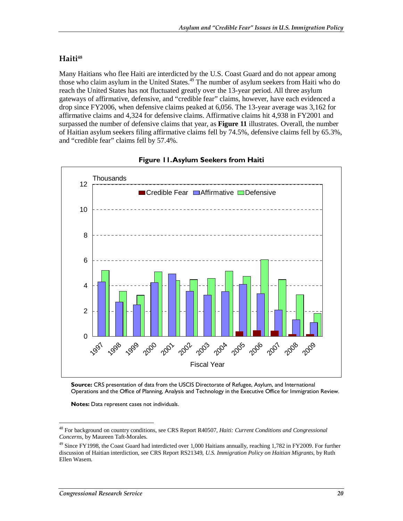#### **Haiti48**

Many Haitians who flee Haiti are interdicted by the U.S. Coast Guard and do not appear among those who claim asylum in the United States.<sup>49</sup> The number of asylum seekers from Haiti who do reach the United States has not fluctuated greatly over the 13-year period. All three asylum gateways of affirmative, defensive, and "credible fear" claims, however, have each evidenced a drop since FY2006, when defensive claims peaked at 6,056. The 13-year average was 3,162 for affirmative claims and 4,324 for defensive claims. Affirmative claims hit 4,938 in FY2001 and surpassed the number of defensive claims that year, as **Figure 11** illustrates. Overall, the number of Haitian asylum seekers filing affirmative claims fell by 74.5%, defensive claims fell by 65.3%, and "credible fear" claims fell by 57.4%.





**Source:** CRS presentation of data from the USCIS Directorate of Refugee, Asylum, and International Operations and the Office of Planning, Analysis and Technology in the Executive Office for Immigration Review.

**Notes:** Data represent cases not individuals.

<sup>&</sup>lt;u>.</u> 48 For background on country conditions, see CRS Report R40507, *Haiti: Current Conditions and Congressional Concerns*, by Maureen Taft-Morales.

<sup>&</sup>lt;sup>49</sup> Since FY1998, the Coast Guard had interdicted over 1,000 Haitians annually, reaching 1,782 in FY2009. For further discussion of Haitian interdiction, see CRS Report RS21349, *U.S. Immigration Policy on Haitian Migrants*, by Ruth Ellen Wasem.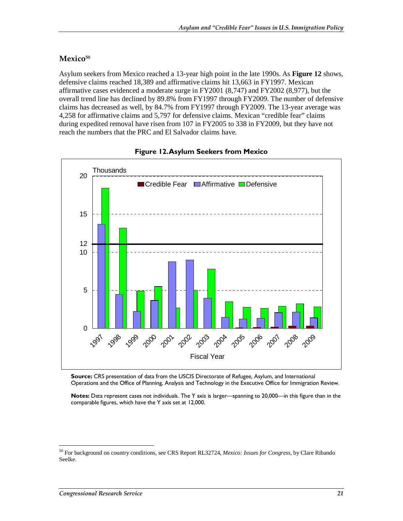#### Mexico<sup>50</sup>

Asylum seekers from Mexico reached a 13-year high point in the late 1990s. As **Figure 12** shows, defensive claims reached 18,389 and affirmative claims hit 13,663 in FY1997. Mexican affirmative cases evidenced a moderate surge in FY2001 (8,747) and FY2002 (8,977), but the overall trend line has declined by 89.8% from FY1997 through FY2009. The number of defensive claims has decreased as well, by 84.7% from FY1997 through FY2009. The 13-year average was 4,258 for affirmative claims and 5,797 for defensive claims. Mexican "credible fear" claims during expedited removal have risen from 107 in FY2005 to 338 in FY2009, but they have not reach the numbers that the PRC and El Salvador claims have.



#### **Figure 12. Asylum Seekers from Mexico**

**Source:** CRS presentation of data from the USCIS Directorate of Refugee, Asylum, and International Operations and the Office of Planning, Analysis and Technology in the Executive Office for Immigration Review.

**Notes:** Data represent cases not individuals. The Y axis is larger—spanning to 20,000—in this figure than in the comparable figures, which have the Y axis set at 12,000.

-

<sup>50</sup> For background on country conditions, see CRS Report RL32724, *Mexico: Issues for Congress*, by Clare Ribando Seelke.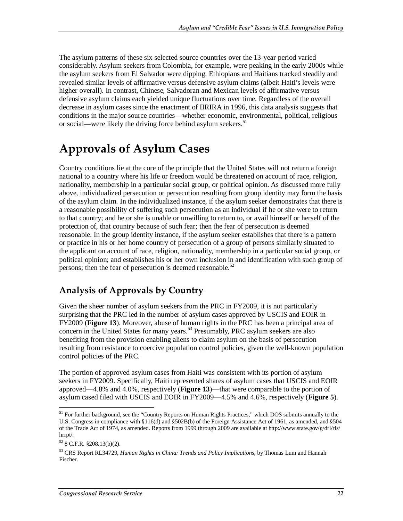The asylum patterns of these six selected source countries over the 13-year period varied considerably. Asylum seekers from Colombia, for example, were peaking in the early 2000s while the asylum seekers from El Salvador were dipping. Ethiopians and Haitians tracked steadily and revealed similar levels of affirmative versus defensive asylum claims (albeit Haiti's levels were higher overall). In contrast, Chinese, Salvadoran and Mexican levels of affirmative versus defensive asylum claims each yielded unique fluctuations over time. Regardless of the overall decrease in asylum cases since the enactment of IIRIRA in 1996, this data analysis suggests that conditions in the major source countries—whether economic, environmental, political, religious or social—were likely the driving force behind asylum seekers.<sup>51</sup>

# **Approvals of Asylum Cases**

Country conditions lie at the core of the principle that the United States will not return a foreign national to a country where his life or freedom would be threatened on account of race, religion, nationality, membership in a particular social group, or political opinion. As discussed more fully above, individualized persecution or persecution resulting from group identity may form the basis of the asylum claim. In the individualized instance, if the asylum seeker demonstrates that there is a reasonable possibility of suffering such persecution as an individual if he or she were to return to that country; and he or she is unable or unwilling to return to, or avail himself or herself of the protection of, that country because of such fear; then the fear of persecution is deemed reasonable. In the group identity instance, if the asylum seeker establishes that there is a pattern or practice in his or her home country of persecution of a group of persons similarly situated to the applicant on account of race, religion, nationality, membership in a particular social group, or political opinion; and establishes his or her own inclusion in and identification with such group of persons; then the fear of persecution is deemed reasonable. $52$ 

## **Analysis of Approvals by Country**

Given the sheer number of asylum seekers from the PRC in FY2009, it is not particularly surprising that the PRC led in the number of asylum cases approved by USCIS and EOIR in FY2009 (**Figure 13**). Moreover, abuse of human rights in the PRC has been a principal area of concern in the United States for many years.<sup>53</sup> Presumably, PRC asylum seekers are also benefiting from the provision enabling aliens to claim asylum on the basis of persecution resulting from resistance to coercive population control policies, given the well-known population control policies of the PRC.

The portion of approved asylum cases from Haiti was consistent with its portion of asylum seekers in FY2009. Specifically, Haiti represented shares of asylum cases that USCIS and EOIR approved—4.8% and 4.0%, respectively (**Figure 13**)—that were comparable to the portion of asylum cased filed with USCIS and EOIR in FY2009—4.5% and 4.6%, respectively (**Figure 5**).

<sup>-</sup><sup>51</sup> For further background, see the "Country Reports on Human Rights Practices," which DOS submits annually to the U.S. Congress in compliance with §116(d) and §502B(b) of the Foreign Assistance Act of 1961, as amended, and §504 of the Trade Act of 1974, as amended. Reports from 1999 through 2009 are available at http://www.state.gov/g/drl/rls/ hrrpt/.

 $52$  8 C.F.R. §208.13(b)(2).

<sup>53</sup> CRS Report RL34729, *Human Rights in China: Trends and Policy Implications*, by Thomas Lum and Hannah Fischer.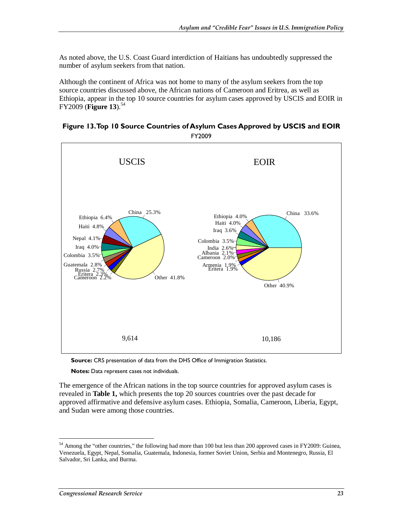As noted above, the U.S. Coast Guard interdiction of Haitians has undoubtedly suppressed the number of asylum seekers from that nation.

Although the continent of Africa was not home to many of the asylum seekers from the top source countries discussed above, the African nations of Cameroon and Eritrea, as well as Ethiopia, appear in the top 10 source countries for asylum cases approved by USCIS and EOIR in  $FY2009$  (**Figure 13**).<sup>54</sup>

#### **Figure 13. Top 10 Source Countries of Asylum Cases Approved by USCIS and EOIR**  FY2009



**Source:** CRS presentation of data from the DHS Office of Immigration Statistics.

**Notes:** Data represent cases not individuals.

The emergence of the African nations in the top source countries for approved asylum cases is revealed in **Table 1,** which presents the top 20 sources countries over the past decade for approved affirmative and defensive asylum cases. Ethiopia, Somalia, Cameroon, Liberia, Egypt, and Sudan were among those countries.

-

<sup>&</sup>lt;sup>54</sup> Among the "other countries," the following had more than 100 but less than 200 approved cases in FY2009: Guinea, Venezuela, Egypt, Nepal, Somalia, Guatemala, Indonesia, former Soviet Union, Serbia and Montenegro, Russia, El Salvador, Sri Lanka, and Burma.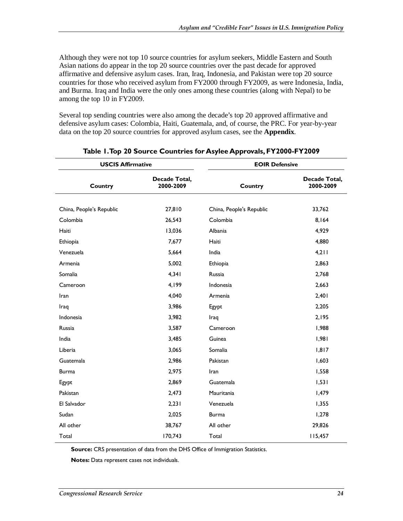Although they were not top 10 source countries for asylum seekers, Middle Eastern and South Asian nations do appear in the top 20 source countries over the past decade for approved affirmative and defensive asylum cases. Iran, Iraq, Indonesia, and Pakistan were top 20 source countries for those who received asylum from FY2000 through FY2009, as were Indonesia, India, and Burma. Iraq and India were the only ones among these countries (along with Nepal) to be among the top 10 in FY2009.

Several top sending countries were also among the decade's top 20 approved affirmative and defensive asylum cases: Colombia, Haiti, Guatemala, and, of course, the PRC. For year-by-year data on the top 20 source countries for approved asylum cases, see the **Appendix**.

| <b>USCIS Affirmative</b> |                            | <b>EOIR Defensive</b>    |                            |  |  |  |  |
|--------------------------|----------------------------|--------------------------|----------------------------|--|--|--|--|
| Country                  | Decade Total,<br>2000-2009 | <b>Country</b>           | Decade Total,<br>2000-2009 |  |  |  |  |
|                          |                            |                          |                            |  |  |  |  |
| China, People's Republic | 27,810                     | China, People's Republic | 33,762                     |  |  |  |  |
| Colombia                 | 26,543                     | Colombia                 | 8,164                      |  |  |  |  |
| Haiti                    | 13,036                     | Albania                  | 4,929                      |  |  |  |  |
| Ethiopia                 | 7,677                      | Haiti                    | 4,880                      |  |  |  |  |
| Venezuela                | 5,664                      | India                    | 4,211                      |  |  |  |  |
| Armenia                  | 5,002                      | Ethiopia                 | 2,863                      |  |  |  |  |
| Somalia                  | 4,341                      | Russia                   | 2,768                      |  |  |  |  |
| Cameroon                 | 4,199                      | Indonesia                | 2,663                      |  |  |  |  |
| Iran                     | 4,040                      | Armenia                  | 2,401                      |  |  |  |  |
| Iraq                     | 3,986                      | Egypt                    | 2,205                      |  |  |  |  |
| Indonesia                | 3,982                      | Iraq                     | 2,195                      |  |  |  |  |
| Russia                   | 3,587                      | Cameroon                 | 1,988                      |  |  |  |  |
| India                    | 3,485                      | Guinea                   | 1,981                      |  |  |  |  |
| Liberia                  | 3,065                      | Somalia                  | 1,817                      |  |  |  |  |
| Guatemala                | 2,986                      | Pakistan                 | 1,603                      |  |  |  |  |
| <b>Burma</b>             | 2,975                      | Iran                     | 1,558                      |  |  |  |  |
| Egypt                    | 2,869                      | Guatemala                | 1,531                      |  |  |  |  |
| Pakistan                 | 2,473                      | Mauritania               | 1,479                      |  |  |  |  |
| El Salvador              | 2,231                      | Venezuela                | 1,355                      |  |  |  |  |
| Sudan                    | 2,025                      | <b>Burma</b>             | 1,278                      |  |  |  |  |
| All other                | 38,767                     | All other                | 29,826                     |  |  |  |  |
| Total                    | 170,743                    | Total                    | 115,457                    |  |  |  |  |

#### **Table 1. Top 20 Source Countries for Asylee Approvals, FY2000-FY2009**

**Source:** CRS presentation of data from the DHS Office of Immigration Statistics.

**Notes:** Data represent cases not individuals.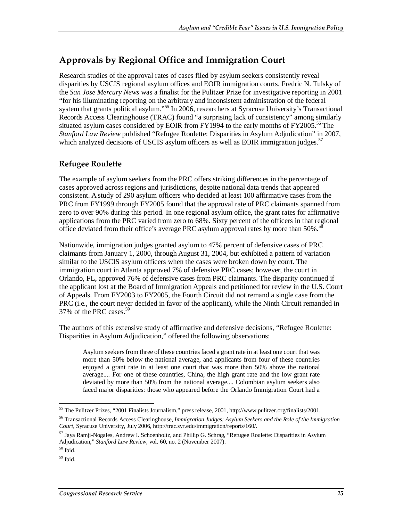## **Approvals by Regional Office and Immigration Court**

Research studies of the approval rates of cases filed by asylum seekers consistently reveal disparities by USCIS regional asylum offices and EOIR immigration courts. Fredric N. Tulsky of the *San Jose Mercury News* was a finalist for the Pulitzer Prize for investigative reporting in 2001 "for his illuminating reporting on the arbitrary and inconsistent administration of the federal system that grants political asylum."<sup>55</sup> In 2006, researchers at Syracuse University's Transactional Records Access Clearinghouse (TRAC) found "a surprising lack of consistency" among similarly situated asylum cases considered by EOIR from FY1994 to the early months of FY2005.<sup>56</sup> The *Stanford Law Review* published "Refugee Roulette: Disparities in Asylum Adjudication" in 2007, which analyzed decisions of USCIS asylum officers as well as EOIR immigration judges.<sup>57</sup>

#### **Refugee Roulette**

The example of asylum seekers from the PRC offers striking differences in the percentage of cases approved across regions and jurisdictions, despite national data trends that appeared consistent. A study of 290 asylum officers who decided at least 100 affirmative cases from the PRC from FY1999 through FY2005 found that the approval rate of PRC claimants spanned from zero to over 90% during this period. In one regional asylum office, the grant rates for affirmative applications from the PRC varied from zero to 68%. Sixty percent of the officers in that regional office deviated from their office's average PRC asylum approval rates by more than 50%.<sup>5</sup>

Nationwide, immigration judges granted asylum to 47% percent of defensive cases of PRC claimants from January 1, 2000, through August 31, 2004, but exhibited a pattern of variation similar to the USCIS asylum officers when the cases were broken down by court. The immigration court in Atlanta approved 7% of defensive PRC cases; however, the court in Orlando, FL, approved 76% of defensive cases from PRC claimants. The disparity continued if the applicant lost at the Board of Immigration Appeals and petitioned for review in the U.S. Court of Appeals. From FY2003 to FY2005, the Fourth Circuit did not remand a single case from the PRC (i.e., the court never decided in favor of the applicant), while the Ninth Circuit remanded in 37% of the PRC cases.<sup>59</sup>

The authors of this extensive study of affirmative and defensive decisions, "Refugee Roulette: Disparities in Asylum Adjudication," offered the following observations:

Asylum seekers from three of these countries faced a grant rate in at least one court that was more than 50% below the national average, and applicants from four of these countries enjoyed a grant rate in at least one court that was more than 50% above the national average.... For one of these countries, China, the high grant rate and the low grant rate deviated by more than 50% from the national average.... Colombian asylum seekers also faced major disparities: those who appeared before the Orlando Immigration Court had a

 $\overline{a}$ <sup>55</sup> The Pulitzer Prizes, "2001 Finalists Journalism," press release, 2001, http://www.pulitzer.org/finalists/2001.

<sup>56</sup> Transactional Records Access Clearinghouse, *Immigration Judges: Asylum Seekers and the Role of the Immigration Court*, Syracuse University, July 2006, http://trac.syr.edu/immigration/reports/160/.

<sup>57</sup> Jaya Ramji-Nogales, Andrew I. Schoenholtz, and Phillip G. Schrag, "Refugee Roulette: Disparities in Asylum Adjudication," *Stanford Law Review*, vol. 60, no. 2 (November 2007).<sup>58</sup> Ibid.

<sup>59</sup> Ibid.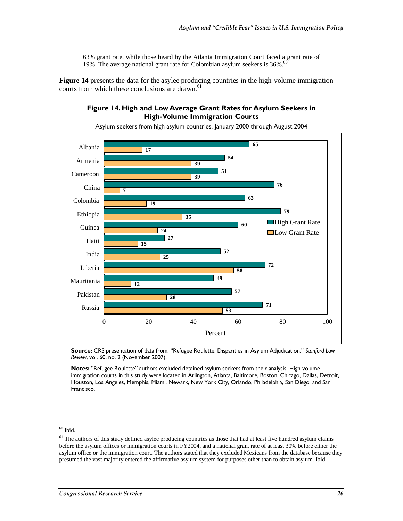63% grant rate, while those heard by the Atlanta Immigration Court faced a grant rate of 19%. The average national grant rate for Colombian asylum seekers is 36%.<sup>60</sup>

**Figure 14** presents the data for the asylee producing countries in the high-volume immigration courts from which these conclusions are drawn.<sup>61</sup>

#### **Figure 14. High and Low Average Grant Rates for Asylum Seekers in High-Volume Immigration Courts**



Asylum seekers from high asylum countries, January 2000 through August 2004

**Source:** CRS presentation of data from, "Refugee Roulette: Disparities in Asylum Adjudication," *Stanford Law Review*, vol. 60, no. 2 (November 2007).

**Notes:** "Refugee Roulette" authors excluded detained asylum seekers from their analysis. High-volume immigration courts in this study were located in Arlington, Atlanta, Baltimore, Boston, Chicago, Dallas, Detroit, Houston, Los Angeles, Memphis, Miami, Newark, New York City, Orlando, Philadelphia, San Diego, and San Francisco.

 $60$  Ibid.

<u>.</u>

 $61$  The authors of this study defined asylee producing countries as those that had at least five hundred asylum claims before the asylum offices or immigration courts in FY2004, and a national grant rate of at least 30% before either the asylum office or the immigration court. The authors stated that they excluded Mexicans from the database because they presumed the vast majority entered the affirmative asylum system for purposes other than to obtain asylum. Ibid.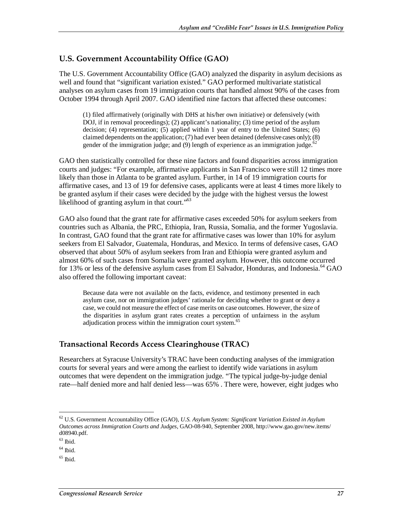#### **U.S. Government Accountability Office (GAO)**

The U.S. Government Accountability Office (GAO) analyzed the disparity in asylum decisions as well and found that "significant variation existed." GAO performed multivariate statistical analyses on asylum cases from 19 immigration courts that handled almost 90% of the cases from October 1994 through April 2007. GAO identified nine factors that affected these outcomes:

(1) filed affirmatively (originally with DHS at his/her own initiative) or defensively (with DOJ, if in removal proceedings); (2) applicant's nationality; (3) time period of the asylum decision; (4) representation; (5) applied within 1 year of entry to the United States; (6) claimed dependents on the application; (7) had ever been detained (defensive cases only); (8) gender of the immigration judge; and  $(9)$  length of experience as an immigration judge.<sup>62</sup>

GAO then statistically controlled for these nine factors and found disparities across immigration courts and judges: "For example, affirmative applicants in San Francisco were still 12 times more likely than those in Atlanta to be granted asylum. Further, in 14 of 19 immigration courts for affirmative cases, and 13 of 19 for defensive cases, applicants were at least 4 times more likely to be granted asylum if their cases were decided by the judge with the highest versus the lowest likelihood of granting asylum in that court."<sup>63</sup>

GAO also found that the grant rate for affirmative cases exceeded 50% for asylum seekers from countries such as Albania, the PRC, Ethiopia, Iran, Russia, Somalia, and the former Yugoslavia. In contrast, GAO found that the grant rate for affirmative cases was lower than 10% for asylum seekers from El Salvador, Guatemala, Honduras, and Mexico. In terms of defensive cases, GAO observed that about 50% of asylum seekers from Iran and Ethiopia were granted asylum and almost 60% of such cases from Somalia were granted asylum. However, this outcome occurred for 13% or less of the defensive asylum cases from El Salvador, Honduras, and Indonesia.<sup>64</sup> GAO also offered the following important caveat:

Because data were not available on the facts, evidence, and testimony presented in each asylum case, nor on immigration judges' rationale for deciding whether to grant or deny a case, we could not measure the effect of case merits on case outcomes. However, the size of the disparities in asylum grant rates creates a perception of unfairness in the asylum adjudication process within the immigration court system.<sup>65</sup>

#### **Transactional Records Access Clearinghouse (TRAC)**

Researchers at Syracuse University's TRAC have been conducting analyses of the immigration courts for several years and were among the earliest to identify wide variations in asylum outcomes that were dependent on the immigration judge. "The typical judge-by-judge denial rate—half denied more and half denied less—was 65% . There were, however, eight judges who

<sup>-</sup>62 U.S. Government Accountability Office (GAO), *U.S. Asylum System: Significant Variation Existed in Asylum Outcomes across Immigration Courts and Judges*, GAO-08-940, September 2008, http://www.gao.gov/new.items/ d08940.pdf.

 $63$  Ibid.

 $64$  Ibid.

 $65$  Ibid.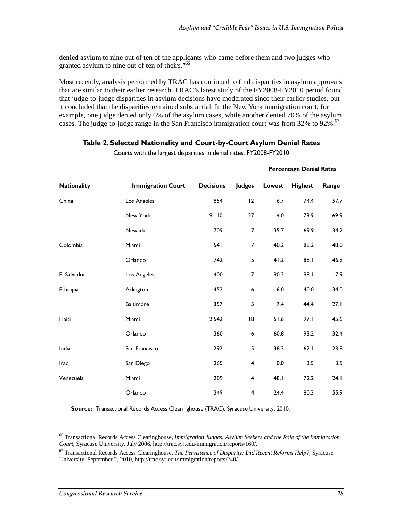denied asylum to nine out of ten of the applicants who came before them and two judges who granted asylum to nine out of ten of theirs."<sup>66</sup>

Most recently, analysis performed by TRAC has continued to find disparities in asylum approvals that are similar to their earlier research. TRAC's latest study of the FY2008-FY2010 period found that judge-to-judge disparities in asylum decisions have moderated since their earlier studies, but it concluded that the disparities remained substantial. In the New York immigration court, for example, one judge denied only 6% of the asylum cases, while another denied 70% of the asylum cases. The judge-to-judge range in the San Francisco immigration court was from 32% to 92%.<sup>67</sup>

|             |                          |                  |                | <b>Percentage Denial Rates</b> |                |       |  |
|-------------|--------------------------|------------------|----------------|--------------------------------|----------------|-------|--|
| Nationality | <b>Immigration Court</b> | <b>Decisions</b> | <b>Judges</b>  | Lowest                         | <b>Highest</b> | Range |  |
| China       | Los Angeles              | 854              | 12             | 16.7                           | 74.4           | 57.7  |  |
|             | New York                 | 9,110            | 27             | 4.0                            | 73.9           | 69.9  |  |
|             | Newark                   | 709              | 7              | 35.7                           | 69.9           | 34.2  |  |
| Colombia    | Miami                    | 541              | 7              | 40.2                           | 88.2           | 48.0  |  |
|             | Orlando                  | 742              | 5              | 41.2                           | 88.1           | 46.9  |  |
| El Salvador | Los Angeles              | 400              | 7              | 90.2                           | 98.I           | 7.9   |  |
| Ethiopia    | Arlington                | 452              | 6              | $6.0\,$                        | 40.0           | 34.0  |  |
|             | <b>Baltimore</b>         | 357              | 5              | 17.4                           | 44.4           | 27.1  |  |
| Haiti       | Miami                    | 2,542            | 18             | 51.6                           | 97.1           | 45.6  |  |
|             | Orlando                  | 1,360            | 6              | 60.8                           | 93.2           | 32.4  |  |
| India       | San Francisco            | 292              | 5              | 38.3                           | 62.1           | 23.8  |  |
| Iraq        | San Diego                | 265              | 4              | 0.0                            | 3.5            | 3.5   |  |
| Venezuela   | Miami                    | 289              | 4              | 48.I                           | 72.2           | 24.1  |  |
|             | Orlando                  | 349              | $\overline{4}$ | 24.4                           | 80.3           | 55.9  |  |

#### **Table 2. Selected Nationality and Court-by-Court Asylum Denial Rates**

Courts with the largest disparities in denial rates, FY2008-FY2010

**Source:** Transactional Records Access Clearinghouse (TRAC), Syracuse University, 2010.

<sup>-</sup>66 Transactional Records Access Clearinghouse, *Immigration Judges: Asylum Seekers and the Role of the Immigration Court*, Syracuse University, July 2006, http://trac.syr.edu/immigration/reports/160/.

<sup>67</sup> Transactional Records Access Clearinghouse, *The Persistence of Disparity: Did Recent Reforms Help?*, Syracuse University, September 2, 2010, http://trac.syr.edu/immigration/reports/240/.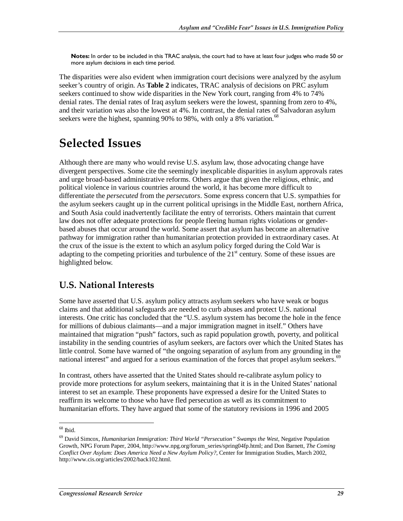**Notes:** In order to be included in this TRAC analysis, the court had to have at least four judges who made 50 or more asylum decisions in each time period.

The disparities were also evident when immigration court decisions were analyzed by the asylum seeker's country of origin. As **Table 2** indicates, TRAC analysis of decisions on PRC asylum seekers continued to show wide disparities in the New York court, ranging from 4% to 74% denial rates. The denial rates of Iraq asylum seekers were the lowest, spanning from zero to 4%, and their variation was also the lowest at 4%. In contrast, the denial rates of Salvadoran asylum seekers were the highest, spanning 90% to 98%, with only a 8% variation.<sup>68</sup>

# **Selected Issues**

Although there are many who would revise U.S. asylum law, those advocating change have divergent perspectives. Some cite the seemingly inexplicable disparities in asylum approvals rates and urge broad-based administrative reforms. Others argue that given the religious, ethnic, and political violence in various countries around the world, it has become more difficult to differentiate the *persecuted* from the *persecutors*. Some express concern that U.S. sympathies for the asylum seekers caught up in the current political uprisings in the Middle East, northern Africa, and South Asia could inadvertently facilitate the entry of terrorists. Others maintain that current law does not offer adequate protections for people fleeing human rights violations or genderbased abuses that occur around the world. Some assert that asylum has become an alternative pathway for immigration rather than humanitarian protection provided in extraordinary cases. At the crux of the issue is the extent to which an asylum policy forged during the Cold War is adapting to the competing priorities and turbulence of the  $21<sup>st</sup>$  century. Some of these issues are highlighted below.

## **U.S. National Interests**

Some have asserted that U.S. asylum policy attracts asylum seekers who have weak or bogus claims and that additional safeguards are needed to curb abuses and protect U.S. national interests. One critic has concluded that the "U.S. asylum system has become the hole in the fence for millions of dubious claimants—and a major immigration magnet in itself." Others have maintained that migration "push" factors, such as rapid population growth, poverty, and political instability in the sending countries of asylum seekers, are factors over which the United States has little control. Some have warned of "the ongoing separation of asylum from any grounding in the national interest" and argued for a serious examination of the forces that propel asylum seekers.<sup>69</sup>

In contrast, others have asserted that the United States should re-calibrate asylum policy to provide more protections for asylum seekers, maintaining that it is in the United States' national interest to set an example. These proponents have expressed a desire for the United States to reaffirm its welcome to those who have fled persecution as well as its commitment to humanitarian efforts. They have argued that some of the statutory revisions in 1996 and 2005

<sup>&</sup>lt;u>.</u>  $68$  Ibid.

<sup>69</sup> David Simcox, *Humanitarian Immigration: Third World "Persecution" Swamps the West*, Negative Population Growth, NPG Forum Paper, 2004, http://www.npg.org/forum\_series/spring04fp.html; and Don Barnett, *The Coming Conflict Over Asylum: Does America Need a New Asylum Policy?*, Center for Immigration Studies, March 2002, http://www.cis.org/articles/2002/back102.html.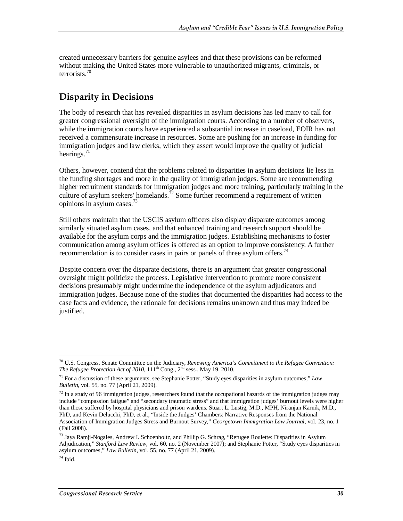created unnecessary barriers for genuine asylees and that these provisions can be reformed without making the United States more vulnerable to unauthorized migrants, criminals, or terrorists.70

## **Disparity in Decisions**

The body of research that has revealed disparities in asylum decisions has led many to call for greater congressional oversight of the immigration courts. According to a number of observers, while the immigration courts have experienced a substantial increase in caseload, EOIR has not received a commensurate increase in resources. Some are pushing for an increase in funding for immigration judges and law clerks, which they assert would improve the quality of judicial hearings. $71$ 

Others, however, contend that the problems related to disparities in asylum decisions lie less in the funding shortages and more in the quality of immigration judges. Some are recommending higher recruitment standards for immigration judges and more training, particularly training in the culture of asylum seekers' homelands.<sup>72</sup> Some further recommend a requirement of written opinions in asylum cases. $^{73}$ 

Still others maintain that the USCIS asylum officers also display disparate outcomes among similarly situated asylum cases, and that enhanced training and research support should be available for the asylum corps and the immigration judges. Establishing mechanisms to foster communication among asylum offices is offered as an option to improve consistency. A further recommendation is to consider cases in pairs or panels of three asylum offers.<sup>74</sup>

Despite concern over the disparate decisions, there is an argument that greater congressional oversight might politicize the process. Legislative intervention to promote more consistent decisions presumably might undermine the independence of the asylum adjudicators and immigration judges. Because none of the studies that documented the disparities had access to the case facts and evidence, the rationale for decisions remains unknown and thus may indeed be justified.

<sup>&</sup>lt;u>.</u> 70 U.S. Congress, Senate Committee on the Judiciary, *Renewing America's Commitment to the Refugee Convention: The Refugee Protection Act of 2010*,  $111^{th}$  Cong.,  $2^{nd}$  sess., May 19, 2010.

<sup>71</sup> For a discussion of these arguments, see Stephanie Potter, "Study eyes disparities in asylum outcomes," *Law Bulletin*, vol. 55, no. 77 (April 21, 2009).

 $^{72}$  In a study of 96 immigration judges, researchers found that the occupational hazards of the immigration judges may include "compassion fatigue" and "secondary traumatic stress" and that immigration judges' burnout levels were higher than those suffered by hospital physicians and prison wardens. Stuart L. Lustig, M.D., MPH, Niranjan Karnik, M.D., PhD, and Kevin Delucchi, PhD, et al., "Inside the Judges' Chambers: Narrative Responses from the National Association of Immigration Judges Stress and Burnout Survey," *Georgetown Immigration Law Journal*, vol. 23, no. 1 (Fall 2008).

<sup>&</sup>lt;sup>73</sup> Jaya Ramji-Nogales, Andrew I. Schoenholtz, and Phillip G. Schrag, "Refugee Roulette: Disparities in Asylum Adjudication," *Stanford Law Review*, vol. 60, no. 2 (November 2007); and Stephanie Potter, "Study eyes disparities in asylum outcomes," *Law Bulletin*, vol. 55, no. 77 (April 21, 2009).

 $74$  Ibid.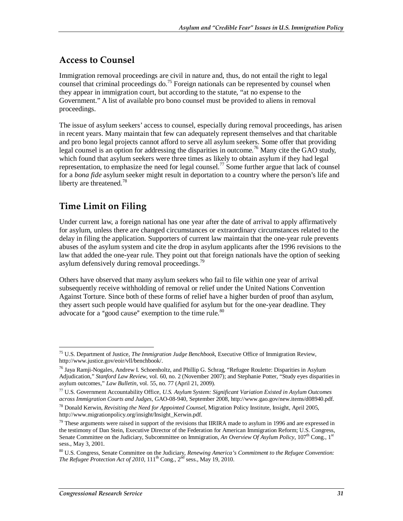### **Access to Counsel**

Immigration removal proceedings are civil in nature and, thus, do not entail the right to legal counsel that criminal proceedings do.<sup>75</sup> Foreign nationals can be represented by counsel when they appear in immigration court, but according to the statute, "at no expense to the Government." A list of available pro bono counsel must be provided to aliens in removal proceedings.

The issue of asylum seekers' access to counsel, especially during removal proceedings, has arisen in recent years. Many maintain that few can adequately represent themselves and that charitable and pro bono legal projects cannot afford to serve all asylum seekers. Some offer that providing legal counsel is an option for addressing the disparities in outcome.<sup>76</sup> Many cite the GAO study, which found that asylum seekers were three times as likely to obtain asylum if they had legal representation, to emphasize the need for legal counsel.77 Some further argue that lack of counsel for a *bona fide* asylum seeker might result in deportation to a country where the person's life and liberty are threatened.<sup>78</sup>

## **Time Limit on Filing**

Under current law, a foreign national has one year after the date of arrival to apply affirmatively for asylum, unless there are changed circumstances or extraordinary circumstances related to the delay in filing the application. Supporters of current law maintain that the one-year rule prevents abuses of the asylum system and cite the drop in asylum applicants after the 1996 revisions to the law that added the one-year rule. They point out that foreign nationals have the option of seeking asylum defensively during removal proceedings.<sup>79</sup>

Others have observed that many asylum seekers who fail to file within one year of arrival subsequently receive withholding of removal or relief under the United Nations Convention Against Torture. Since both of these forms of relief have a higher burden of proof than asylum, they assert such people would have qualified for asylum but for the one-year deadline. They advocate for a "good cause" exemption to the time rule. $80$ 

<sup>&</sup>lt;u>.</u> 75 U.S. Department of Justice, *The Immigration Judge Benchbook*, Executive Office of Immigration Review, http://www.justice.gov/eoir/vll/benchbook/.

<sup>76</sup> Jaya Ramji-Nogales, Andrew I. Schoenholtz, and Phillip G. Schrag, "Refugee Roulette: Disparities in Asylum Adjudication," *Stanford Law Review*, vol. 60, no. 2 (November 2007); and Stephanie Potter, "Study eyes disparities in asylum outcomes," *Law Bulletin*, vol. 55, no. 77 (April 21, 2009).

<sup>77</sup> U.S. Government Accountability Office, *U.S. Asylum System: Significant Variation Existed in Asylum Outcomes across Immigration Courts and Judges*, GAO-08-940, September 2008, http://www.gao.gov/new.items/d08940.pdf.

<sup>78</sup> Donald Kerwin, *Revisiting the Need for Appointed Counsel*, Migration Policy Institute, Insight, April 2005, http://www.migrationpolicy.org/insight/Insight\_Kerwin.pdf.

 $79$  These arguments were raised in support of the revisions that IIRIRA made to asylum in 1996 and are expressed in the testimony of Dan Stein, Executive Director of the Federation for American Immigration Reform; U.S. Congress, Senate Committee on the Judiciary, Subcommittee on Immigration, *An Overview Of Asylum Policy*, 107<sup>th</sup> Cong., 1<sup>st</sup> sess., May 3, 2001.

<sup>80</sup> U.S. Congress, Senate Committee on the Judiciary, *Renewing America's Commitment to the Refugee Convention: The Refugee Protection Act of 2010*,  $111^{th}$  Cong.,  $2^{nd}$  sess., May 19, 2010.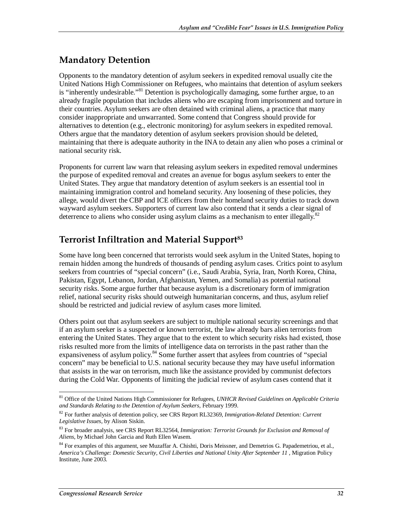## **Mandatory Detention**

Opponents to the mandatory detention of asylum seekers in expedited removal usually cite the United Nations High Commissioner on Refugees, who maintains that detention of asylum seekers is "inherently undesirable."<sup>81</sup> Detention is psychologically damaging, some further argue, to an already fragile population that includes aliens who are escaping from imprisonment and torture in their countries. Asylum seekers are often detained with criminal aliens, a practice that many consider inappropriate and unwarranted. Some contend that Congress should provide for alternatives to detention (e.g., electronic monitoring) for asylum seekers in expedited removal. Others argue that the mandatory detention of asylum seekers provision should be deleted, maintaining that there is adequate authority in the INA to detain any alien who poses a criminal or national security risk.

Proponents for current law warn that releasing asylum seekers in expedited removal undermines the purpose of expedited removal and creates an avenue for bogus asylum seekers to enter the United States. They argue that mandatory detention of asylum seekers is an essential tool in maintaining immigration control and homeland security. Any loosening of these policies, they allege, would divert the CBP and ICE officers from their homeland security duties to track down wayward asylum seekers. Supporters of current law also contend that it sends a clear signal of deterrence to aliens who consider using asylum claims as a mechanism to enter illegally.<sup>82</sup>

## **Terrorist Infiltration and Material Support83**

Some have long been concerned that terrorists would seek asylum in the United States, hoping to remain hidden among the hundreds of thousands of pending asylum cases. Critics point to asylum seekers from countries of "special concern" (i.e., Saudi Arabia, Syria, Iran, North Korea, China, Pakistan, Egypt, Lebanon, Jordan, Afghanistan, Yemen, and Somalia) as potential national security risks. Some argue further that because asylum is a discretionary form of immigration relief, national security risks should outweigh humanitarian concerns, and thus, asylum relief should be restricted and judicial review of asylum cases more limited.

Others point out that asylum seekers are subject to multiple national security screenings and that if an asylum seeker is a suspected or known terrorist, the law already bars alien terrorists from entering the United States. They argue that to the extent to which security risks had existed, those risks resulted more from the limits of intelligence data on terrorists in the past rather than the expansiveness of asylum policy.<sup>84</sup> Some further assert that asylees from countries of "special concern" may be beneficial to U.S. national security because they may have useful information that assists in the war on terrorism, much like the assistance provided by communist defectors during the Cold War. Opponents of limiting the judicial review of asylum cases contend that it

<sup>-</sup>81 Office of the United Nations High Commissioner for Refugees, *UNHCR Revised Guidelines on Applicable Criteria and Standards Relating to the Detention of Asylum Seekers*, February 1999.

<sup>82</sup> For further analysis of detention policy, see CRS Report RL32369, *Immigration-Related Detention: Current Legislative Issues*, by Alison Siskin.

<sup>83</sup> For broader analysis, see CRS Report RL32564, *Immigration: Terrorist Grounds for Exclusion and Removal of Aliens*, by Michael John Garcia and Ruth Ellen Wasem.

<sup>&</sup>lt;sup>84</sup> For examples of this argument, see Muzaffar A. Chishti, Doris Meissner, and Demetrios G. Papademetriou, et al., *America's Challenge: Domestic Security, Civil Liberties and National Unity After September 11* , Migration Policy Institute, June 2003.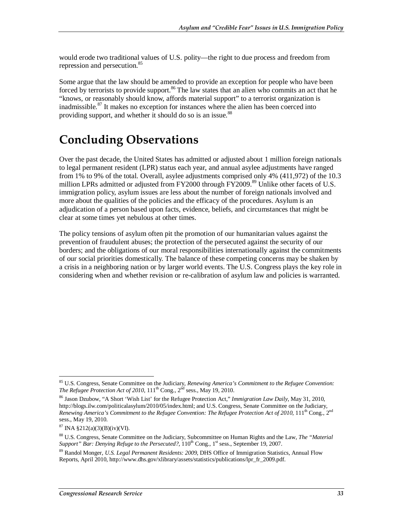would erode two traditional values of U.S. polity—the right to due process and freedom from repression and persecution.<sup>85</sup>

Some argue that the law should be amended to provide an exception for people who have been forced by terrorists to provide support.<sup>86</sup> The law states that an alien who commits an act that he "knows, or reasonably should know, affords material support" to a terrorist organization is inadmissible.<sup>87</sup> It makes no exception for instances where the alien has been coerced into providing support, and whether it should do so is an issue.<sup>88</sup>

# **Concluding Observations**

Over the past decade, the United States has admitted or adjusted about 1 million foreign nationals to legal permanent resident (LPR) status each year, and annual asylee adjustments have ranged from 1% to 9% of the total. Overall, asylee adjustments comprised only 4% (411,972) of the 10.3 million LPRs admitted or adjusted from FY2000 through FY2009.<sup>89</sup> Unlike other facets of U.S. immigration policy, asylum issues are less about the number of foreign nationals involved and more about the qualities of the policies and the efficacy of the procedures. Asylum is an adjudication of a person based upon facts, evidence, beliefs, and circumstances that might be clear at some times yet nebulous at other times.

The policy tensions of asylum often pit the promotion of our humanitarian values against the prevention of fraudulent abuses; the protection of the persecuted against the security of our borders; and the obligations of our moral responsibilities internationally against the commitments of our social priorities domestically. The balance of these competing concerns may be shaken by a crisis in a neighboring nation or by larger world events. The U.S. Congress plays the key role in considering when and whether revision or re-calibration of asylum law and policies is warranted.

<sup>-</sup>85 U.S. Congress, Senate Committee on the Judiciary, *Renewing America's Commitment to the Refugee Convention: The Refugee Protection Act of 2010*, 111<sup>th</sup> Cong., 2<sup>nd</sup> sess., May 19, 2010.

<sup>86</sup> Jason Dzubow, "A Short 'Wish List' for the Refugee Protection Act," *Immigration Law Daily*, May 31, 2010, http://blogs.ilw.com/politicalasylum/2010/05/index.html; and U.S. Congress, Senate Committee on the Judiciary, *Renewing America's Commitment to the Refugee Convention: The Refugee Protection Act of 2010*, 111<sup>th</sup> Cong., 2<sup>nd</sup> sess., May 19, 2010.

<sup>87</sup> INA §212(a)(3)(B)(iv)(VI).

<sup>88</sup> U.S. Congress, Senate Committee on the Judiciary, Subcommittee on Human Rights and the Law, *The "Material Support" Bar: Denying Refuge to the Persecuted?*,  $110^{th}$  Cong., 1<sup>st</sup> sess., September 19, 2007.

<sup>89</sup> Randol Monger, *U.S. Legal Permanent Residents: 2009*, DHS Office of Immigration Statistics, Annual Flow Reports, April 2010, http://www.dhs.gov/xlibrary/assets/statistics/publications/lpr\_fr\_2009.pdf.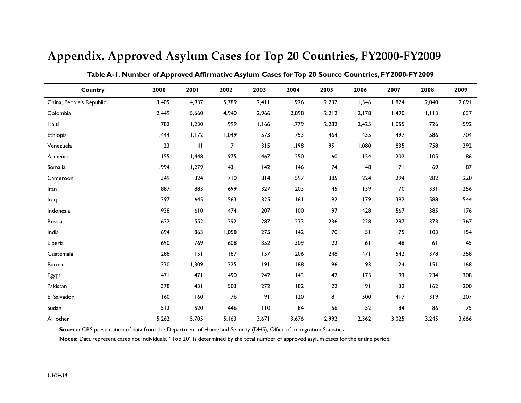| Country                  | 2000  | 2001           | 2002  | 2003  | 2004  | 2005  | 2006  | 2007  | 2008  | 2009  |
|--------------------------|-------|----------------|-------|-------|-------|-------|-------|-------|-------|-------|
| China, People's Republic | 3,409 | 4,937          | 5,789 | 2,411 | 926   | 2,237 | 1,546 | 1,824 | 2,040 | 2,691 |
| Colombia                 | 2,449 | 5,660          | 4,940 | 2,966 | 2,898 | 2,212 | 2,178 | 1,490 | 1,113 | 637   |
| Haiti                    | 782   | 1,230          | 999   | 1,166 | 1,779 | 2,282 | 2,425 | 1,055 | 726   | 592   |
| Ethiopia                 | I,444 | 1,172          | 1,049 | 573   | 753   | 464   | 435   | 497   | 586   | 704   |
| Venezuela                | 23    | 4 <sub>1</sub> | 71    | 315   | 1,198 | 951   | 1,080 | 835   | 758   | 392   |
| Armenia                  | 1,155 | I,448          | 975   | 467   | 250   | 160   | 154   | 202   | 105   | 86    |
| Somalia                  | 1,994 | 1,279          | 431   | 142   | 146   | 74    | 48    | 71    | 69    | 87    |
| Cameroon                 | 349   | 324            | 710   | 814   | 597   | 385   | 224   | 294   | 282   | 220   |
| Iran                     | 887   | 883            | 699   | 327   | 203   | 145   | 139   | 170   | 331   | 256   |
| Iraq                     | 397   | 645            | 563   | 325   | 161   | 192   | 179   | 392   | 588   | 544   |
| Indonesia                | 938   | 610            | 474   | 207   | 100   | 97    | 428   | 567   | 385   | 176   |
| Russia                   | 632   | 552            | 392   | 287   | 233   | 236   | 228   | 287   | 373   | 367   |
| India                    | 694   | 863            | 1,058 | 275   | 142   | 70    | 51    | 75    | 103   | 154   |
| Liberia                  | 690   | 769            | 608   | 352   | 309   | 122   | 61    | 48    | 61    | 45    |
| Guatemala                | 288   | 151            | 187   | 157   | 206   | 248   | 471   | 542   | 378   | 358   |
| <b>Burma</b>             | 330   | 1,309          | 325   | 9     | 188   | 96    | 93    | 124   | 151   | 168   |
| Egypt                    | 471   | 471            | 490   | 242   | 43    | 142   | 175   | 193   | 234   | 308   |
| Pakistan                 | 378   | 431            | 503   | 272   | 182   | 122   | 91    | 132   | 162   | 200   |
| El Salvador              | 160   | 160            | 76    | 91    | 120   | 181   | 500   | 417   | 319   | 207   |
| Sudan                    | 512   | 520            | 446   | 110   | 84    | 56    | 52    | 84    | 86    | 75    |
| All other                | 5,262 | 5,705          | 5,163 | 3,671 | 3,676 | 2,992 | 2,362 | 3,025 | 3,245 | 3,666 |

## **Appendix. Approved Asylum Cases for Top 20 Countries, FY2000-FY2009**

**Table A-1. Number of Approved Affirmative Asylum Cases for Top 20 Source Countries, FY2000-FY2009** 

**Source:** CRS presentation of data from the Department of Homeland Security (DHS), Office of Immigration Statistics.

**Notes:** Data represent cases not individuals. "Top 20" is determined by the total number of approved asylum cases for the entire period.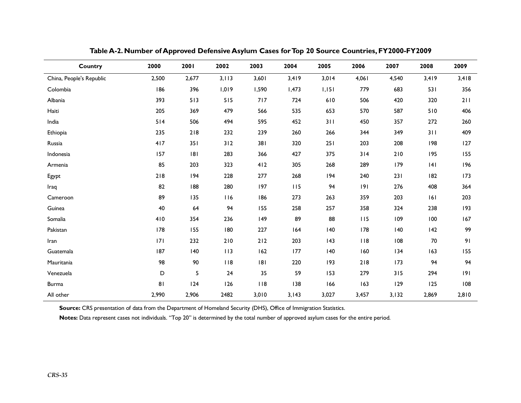| Country                  | 2000  | 2001  | 2002  | 2003  | 2004  | 2005  | 2006  | 2007  | 2008   | 2009  |
|--------------------------|-------|-------|-------|-------|-------|-------|-------|-------|--------|-------|
| China, People's Republic | 2,500 | 2,677 | 3,113 | 3,601 | 3,419 | 3,014 | 4,061 | 4,540 | 3,419  | 3,418 |
| Colombia                 | 186   | 396   | 1,019 | 1,590 | 1,473 | 1,151 | 779   | 683   | 531    | 356   |
| Albania                  | 393   | 513   | 515   | 717   | 724   | 610   | 506   | 420   | 320    | 211   |
| Haiti                    | 205   | 369   | 479   | 566   | 535   | 653   | 570   | 587   | 510    | 406   |
| India                    | 514   | 506   | 494   | 595   | 452   | 311   | 450   | 357   | 272    | 260   |
| Ethiopia                 | 235   | $218$ | 232   | 239   | 260   | 266   | 344   | 349   | 311    | 409   |
| Russia                   | 417   | 351   | 312   | 381   | 320   | 251   | 203   | 208   | 198    | 127   |
| Indonesia                | 157   | 8     | 283   | 366   | 427   | 375   | 314   | $210$ | 195    | 155   |
| Armenia                  | 85    | 203   | 323   | 412   | 305   | 268   | 289   | 179   | 4      | 196   |
| Egypt                    | 218   | 194   | 228   | 277   | 268   | 194   | 240   | 231   | 182    | 173   |
| Iraq                     | 82    | 188   | 280   | 197   | 115   | 94    | 9     | 276   | 408    | 364   |
| Cameroon                 | 89    | 135   | 116   | 186   | 273   | 263   | 359   | 203   | 6      | 203   |
| Guinea                   | 40    | 64    | 94    | 155   | 258   | 257   | 358   | 324   | 238    | 193   |
| Somalia                  | 410   | 354   | 236   | 149   | 89    | 88    | 115   | 109   | 100    | 167   |
| Pakistan                 | 178   | 155   | 180   | 227   | 164   | 140   | 178   | 140   | 142    | 99    |
| Iran                     | 171   | 232   | 210   | 212   | 203   | 143   | 118   | 108   | $70\,$ | 91    |
| Guatemala                | 187   | 140   | 113   | 162   | 177   | 140   | 160   | 134   | 163    | 155   |
| Mauritania               | 98    | 90    | 118   | 8     | 220   | 193   | 218   | 173   | 94     | 94    |
| Venezuela                | D     | 5     | 24    | 35    | 59    | 153   | 279   | 315   | 294    | 9     |
| <b>Burma</b>             | 81    | 124   | 126   | 118   | 138   | 166   | 163   | 129   | 125    | 108   |
| All other                | 2,990 | 2,906 | 2482  | 3,010 | 3,143 | 3,027 | 3,457 | 3,132 | 2,869  | 2,810 |

**Table A-2. Number of Approved Defensive Asylum Cases for Top 20 Source Countries, FY2000-FY2009** 

**Source:** CRS presentation of data from the Department of Homeland Security (DHS), Office of Immigration Statistics.

Notes: Data represent cases not individuals. "Top 20" is determined by the total number of approved asylum cases for the entire period.